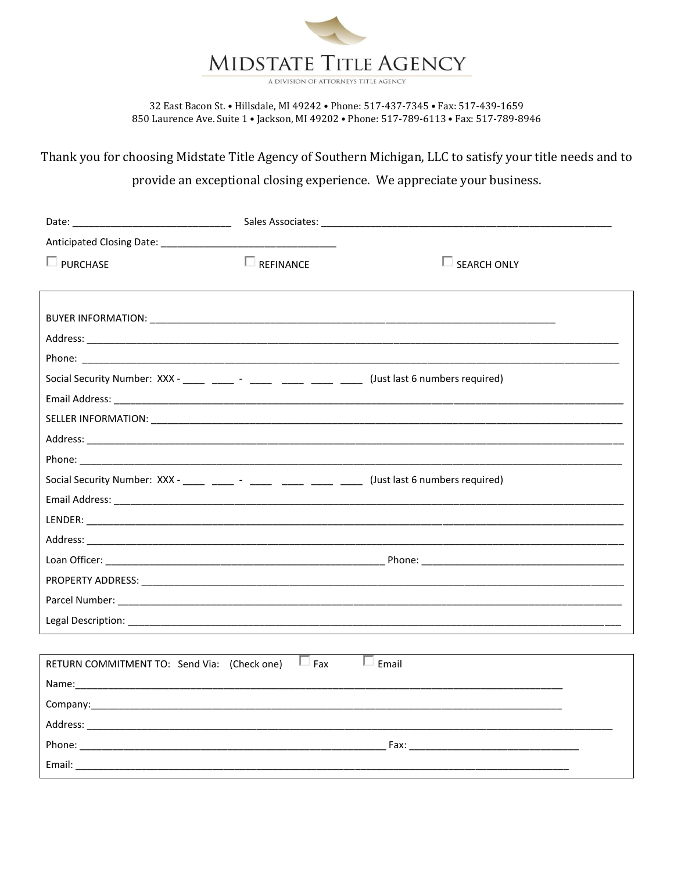

A DIVISION OF ATTORNEYS TITLE AGENCY

32 East Bacon St. • Hillsdale, MI 49242 • Phone: 517-437-7345 • Fax: 517-439-1659 850 Laurence Ave. Suite 1 . Jackson, MI 49202 . Phone: 517-789-6113 . Fax: 517-789-8946

Thank you for choosing Midstate Title Agency of Southern Michigan, LLC to satisfy your title needs and to

provide an exceptional closing experience. We appreciate your business.

|                                                                                                    | Sales Associates: ____________________ |                       |  |
|----------------------------------------------------------------------------------------------------|----------------------------------------|-----------------------|--|
| Anticipated Closing Date: 2008. [19] Anticipated Closing Date:                                     |                                        |                       |  |
| $\square$ PURCHASE                                                                                 | $\Box$ REFINANCE                       | $\square$ SEARCH ONLY |  |
|                                                                                                    |                                        |                       |  |
|                                                                                                    |                                        |                       |  |
|                                                                                                    |                                        |                       |  |
|                                                                                                    |                                        |                       |  |
|                                                                                                    |                                        |                       |  |
|                                                                                                    |                                        |                       |  |
|                                                                                                    |                                        |                       |  |
|                                                                                                    |                                        |                       |  |
|                                                                                                    |                                        |                       |  |
|                                                                                                    |                                        |                       |  |
| Social Security Number: XXX - _____ _____ - _____ _____ _____ _____ (Just last 6 numbers required) |                                        |                       |  |
|                                                                                                    |                                        |                       |  |
|                                                                                                    |                                        |                       |  |
|                                                                                                    |                                        |                       |  |
|                                                                                                    |                                        |                       |  |
|                                                                                                    |                                        |                       |  |
|                                                                                                    |                                        |                       |  |
|                                                                                                    |                                        |                       |  |
|                                                                                                    |                                        |                       |  |
| RETURN COMMITMENT TO: Send Via: (Check one)                                                        | $\Box$ Fax                             | $\Box$ Email          |  |
|                                                                                                    |                                        |                       |  |
|                                                                                                    |                                        |                       |  |
|                                                                                                    |                                        |                       |  |
|                                                                                                    |                                        |                       |  |
|                                                                                                    |                                        |                       |  |
|                                                                                                    |                                        |                       |  |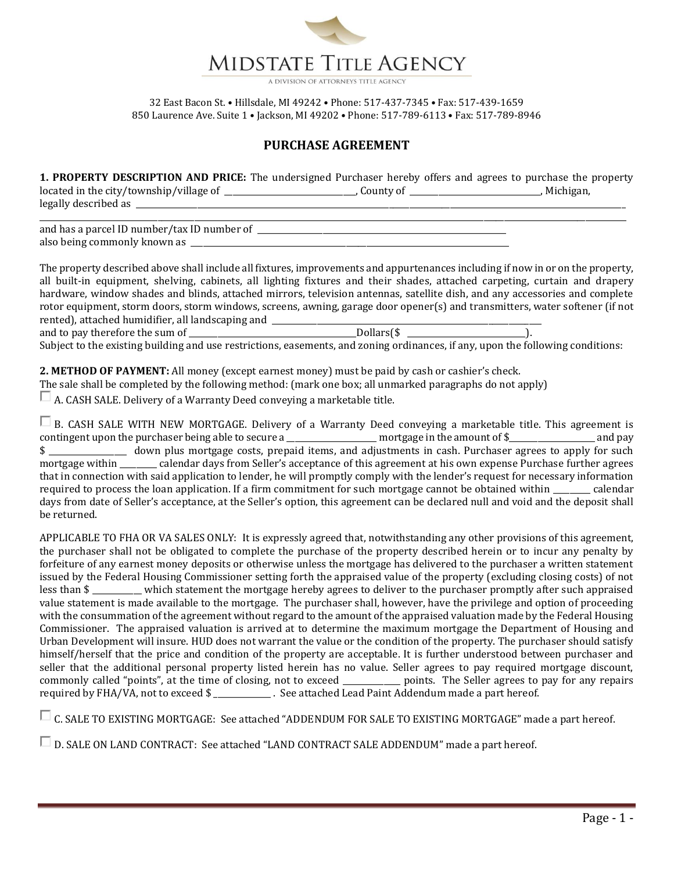

## **PURCHASE AGREEMENT**

**1. PROPERTY DESCRIPTION AND PRICE:** The undersigned Purchaser hereby offers and agrees to purchase the property located in the city/township/village of \_\_\_\_\_\_\_\_\_\_\_\_\_\_\_\_\_\_\_\_\_\_\_\_\_\_\_\_\_\_\_\_, County of \_\_\_\_\_\_\_\_\_\_\_\_\_\_\_\_\_\_\_\_\_\_\_\_\_\_\_\_\_\_\_\_, Michigan, legally described as \_\_\_\_\_\_\_\_\_\_\_\_\_\_\_\_\_\_\_\_\_\_\_\_\_\_\_\_\_\_\_\_\_\_\_\_\_\_\_\_\_\_\_\_\_\_\_\_\_\_\_\_\_\_\_\_\_\_\_\_\_\_\_\_\_\_\_\_\_\_\_\_\_\_\_\_\_\_\_\_\_\_\_\_\_\_\_\_\_\_\_\_\_\_\_\_\_\_\_\_\_\_\_\_\_\_\_\_\_\_\_\_\_\_\_\_\_\_\_\_

\_\_\_\_\_\_\_\_\_\_\_\_\_\_\_\_\_\_\_\_\_\_\_\_\_\_\_\_\_\_\_\_\_\_\_\_\_\_\_\_\_\_\_\_\_\_\_\_\_\_\_\_\_\_\_\_\_\_\_\_\_\_\_\_\_\_\_\_\_\_\_\_\_\_\_\_\_\_\_\_\_\_\_\_\_\_\_\_\_\_\_\_\_\_\_\_\_\_\_\_\_\_\_\_\_\_\_\_\_\_\_\_\_\_\_\_\_\_\_\_\_\_\_\_\_\_\_\_\_\_\_\_\_\_\_\_\_\_\_\_\_\_\_\_

and has a parcel ID number/tax ID number of also being commonly known as \_\_\_\_\_\_\_\_\_\_\_\_\_\_\_\_\_\_\_\_\_\_\_\_\_\_\_\_\_\_\_\_\_\_\_\_\_\_\_\_\_\_\_\_\_\_\_\_\_\_\_\_\_\_\_\_\_\_\_\_\_\_\_\_\_\_\_\_\_\_\_\_\_\_\_\_\_\_

The property described above shall include all fixtures, improvements and appurtenances including if now in or on the property, all built-in equipment, shelving, cabinets, all lighting fixtures and their shades, attached carpeting, curtain and drapery hardware, window shades and blinds, attached mirrors, television antennas, satellite dish, and any accessories and complete rotor equipment, storm doors, storm windows, screens, awning, garage door opener(s) and transmitters, water softener (if not rented), attached humidifier, all landscaping and \_\_\_\_\_\_\_\_\_\_\_\_\_\_\_\_\_\_\_\_\_\_\_\_\_\_\_\_\_\_\_\_\_\_\_\_\_\_\_\_\_\_\_\_\_\_\_\_\_\_\_\_\_\_\_\_\_\_\_\_\_\_\_\_\_\_

and to pay therefore the sum of \_\_\_\_\_\_\_\_\_\_\_\_\_\_\_\_\_\_\_\_\_\_\_\_\_\_\_\_\_\_\_\_\_\_\_\_\_\_\_\_\_Dollars(\$ \_\_\_\_\_\_\_\_\_\_\_\_\_\_\_\_\_\_\_\_\_\_\_\_\_\_\_\_\_). Subject to the existing building and use restrictions, easements, and zoning ordinances, if any, upon the following conditions:

**2. METHOD OF PAYMENT:** All money (except earnest money) must be paid by cash or cashier's check.

The sale shall be completed by the following method: (mark one box; all unmarked paragraphs do not apply)

 $\Box$  A. CASH SALE. Delivery of a Warranty Deed conveying a marketable title.

B. CASH SALE WITH NEW MORTGAGE. Delivery of a Warranty Deed conveying a marketable title. This agreement is contingent upon the purchaser being able to secure a \_\_\_\_\_\_\_\_\_\_\_\_\_\_\_\_\_\_\_\_\_\_ mortgage in the amount of \$\_\_\_\_\_\_\_\_\_\_\_\_\_\_\_\_\_\_\_\_\_ and pay \$ \_\_\_\_\_\_\_\_\_\_\_\_\_\_\_\_\_\_\_ down plus mortgage costs, prepaid items, and adjustments in cash. Purchaser agrees to apply for such mortgage within \_\_\_\_\_\_\_\_\_ calendar days from Seller's acceptance of this agreement at his own expense Purchase further agrees that in connection with said application to lender, he will promptly comply with the lender's request for necessary information required to process the loan application. If a firm commitment for such mortgage cannot be obtained within \_\_\_\_\_\_\_\_\_ calendar days from date of Seller's acceptance, at the Seller's option, this agreement can be declared null and void and the deposit shall be returned.

APPLICABLE TO FHA OR VA SALES ONLY: It is expressly agreed that, notwithstanding any other provisions of this agreement, the purchaser shall not be obligated to complete the purchase of the property described herein or to incur any penalty by forfeiture of any earnest money deposits or otherwise unless the mortgage has delivered to the purchaser a written statement issued by the Federal Housing Commissioner setting forth the appraised value of the property (excluding closing costs) of not less than \$ \_\_\_\_\_\_\_\_\_\_\_\_ which statement the mortgage hereby agrees to deliver to the purchaser promptly after such appraised value statement is made available to the mortgage. The purchaser shall, however, have the privilege and option of proceeding with the consummation of the agreement without regard to the amount of the appraised valuation made by the Federal Housing Commissioner. The appraised valuation is arrived at to determine the maximum mortgage the Department of Housing and Urban Development will insure. HUD does not warrant the value or the condition of the property. The purchaser should satisfy himself/herself that the price and condition of the property are acceptable. It is further understood between purchaser and seller that the additional personal property listed herein has no value. Seller agrees to pay required mortgage discount, commonly called "points", at the time of closing, not to exceed \_\_\_\_\_\_\_\_\_\_\_\_\_\_ points. The Seller agrees to pay for any repairs required by FHA/VA, not to exceed \$ \_\_\_\_\_\_\_\_\_\_\_\_\_\_ . See attached Lead Paint Addendum made a part hereof.

C. SALE TO EXISTING MORTGAGE: See attached "ADDENDUM FOR SALE TO EXISTING MORTGAGE" made a part hereof.

D. SALE ON LAND CONTRACT: See attached "LAND CONTRACT SALE ADDENDUM" made a part hereof.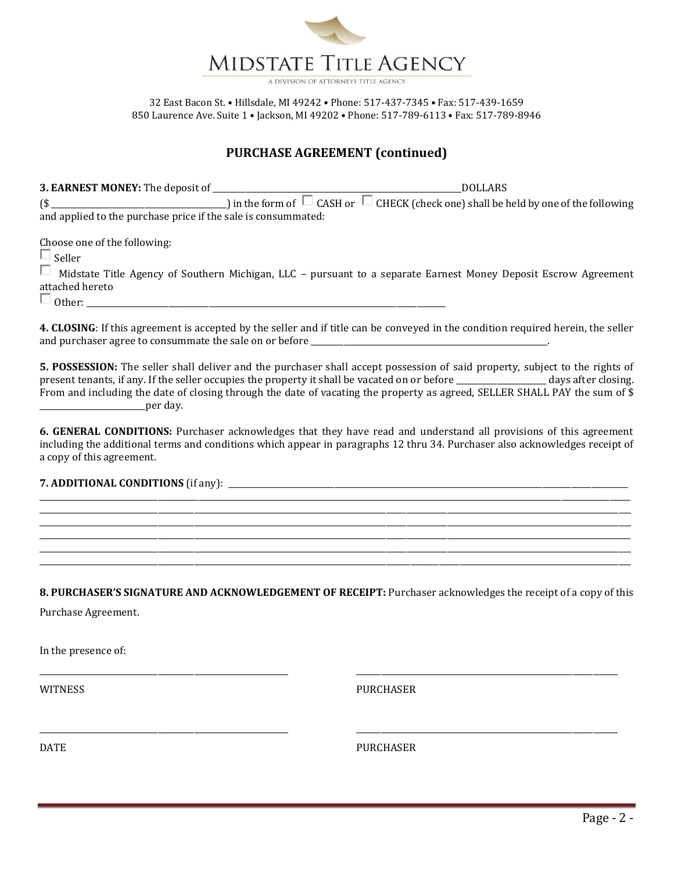

## **PURCHASE AGREEMENT (continued)**

**3. EARNEST MONEY:** The deposit of \_\_\_\_\_\_\_\_\_\_\_\_\_\_\_\_\_\_\_\_\_\_\_\_\_\_\_\_\_\_\_\_\_\_\_\_\_\_\_\_\_\_\_\_\_\_\_\_\_\_\_\_\_\_\_\_\_\_\_\_\_DOLLARS  $(\$\_\_\_\_\_\_\_\_\_\_\_\_\_\_\_\_\_\_$  ) in the form of  $\;\Box\;$  CASH or  $\;\Box\;$  CHECK (check one) shall be held by one of the following and applied to the purchase price if the sale is consummated:

Choose one of the following:

 $\square$  Seller

Midstate Title Agency of Southern Michigan, LLC – pursuant to a separate Earnest Money Deposit Escrow Agreement attached hereto

 $\Box$  Other:

**4. CLOSING**: If this agreement is accepted by the seller and if title can be conveyed in the condition required herein, the seller and purchaser agree to consummate the sale on or before \_\_\_\_\_\_\_\_\_\_\_\_\_\_\_\_\_\_\_\_\_\_\_\_\_\_\_\_\_\_\_\_\_\_\_\_\_\_\_\_\_\_\_\_\_\_\_\_\_\_\_\_\_\_\_\_\_\_.

**5. POSSESSION:** The seller shall deliver and the purchaser shall accept possession of said property, subject to the rights of present tenants, if any. If the seller occupies the property it shall be vacated on or before \_\_\_\_\_\_\_\_\_\_\_\_\_\_\_\_\_\_\_\_\_\_ days after closing. From and including the date of closing through the date of vacating the property as agreed, SELLER SHALL PAY the sum of \$  $per \, day.$ 

**6. GENERAL CONDITIONS:** Purchaser acknowledges that they have read and understand all provisions of this agreement including the additional terms and conditions which appear in paragraphs 12 thru 34. Purchaser also acknowledges receipt of a copy of this agreement.

\_\_\_\_\_\_\_\_\_\_\_\_\_\_\_\_\_\_\_\_\_\_\_\_\_\_\_\_\_\_\_\_\_\_\_\_\_\_\_\_\_\_\_\_\_\_\_\_\_\_\_\_\_\_\_\_\_\_\_\_\_\_\_\_\_\_\_\_\_\_\_\_\_\_\_\_\_\_\_\_\_\_\_\_\_\_\_\_\_\_\_\_\_\_\_\_\_\_\_\_\_\_\_\_\_\_\_\_\_\_\_\_\_\_\_\_\_\_\_\_\_\_\_\_\_\_\_\_\_\_\_\_\_\_\_\_\_\_\_\_\_\_\_\_\_ \_\_\_\_\_\_\_\_\_\_\_\_\_\_\_\_\_\_\_\_\_\_\_\_\_\_\_\_\_\_\_\_\_\_\_\_\_\_\_\_\_\_\_\_\_\_\_\_\_\_\_\_\_\_\_\_\_\_\_\_\_\_\_\_\_\_\_\_\_\_\_\_\_\_\_\_\_\_\_\_\_\_\_\_\_\_\_\_\_\_\_\_\_\_\_\_\_\_\_\_\_\_\_\_\_\_\_\_\_\_\_\_\_\_\_\_\_\_\_\_\_\_\_\_\_\_\_\_\_\_\_\_\_\_\_\_\_\_\_\_\_\_\_\_\_ \_\_\_\_\_\_\_\_\_\_\_\_\_\_\_\_\_\_\_\_\_\_\_\_\_\_\_\_\_\_\_\_\_\_\_\_\_\_\_\_\_\_\_\_\_\_\_\_\_\_\_\_\_\_\_\_\_\_\_\_\_\_\_\_\_\_\_\_\_\_\_\_\_\_\_\_\_\_\_\_\_\_\_\_\_\_\_\_\_\_\_\_\_\_\_\_\_\_\_\_\_\_\_\_\_\_\_\_\_\_\_\_\_\_\_\_\_\_\_\_\_\_\_\_\_\_\_\_\_\_\_\_\_\_\_\_\_\_\_\_\_\_\_\_\_ \_\_\_\_\_\_\_\_\_\_\_\_\_\_\_\_\_\_\_\_\_\_\_\_\_\_\_\_\_\_\_\_\_\_\_\_\_\_\_\_\_\_\_\_\_\_\_\_\_\_\_\_\_\_\_\_\_\_\_\_\_\_\_\_\_\_\_\_\_\_\_\_\_\_\_\_\_\_\_\_\_\_\_\_\_\_\_\_\_\_\_\_\_\_\_\_\_\_\_\_\_\_\_\_\_\_\_\_\_\_\_\_\_\_\_\_\_\_\_\_\_\_\_\_\_\_\_\_\_\_\_\_\_\_\_\_\_\_\_\_\_\_\_\_\_ \_\_\_\_\_\_\_\_\_\_\_\_\_\_\_\_\_\_\_\_\_\_\_\_\_\_\_\_\_\_\_\_\_\_\_\_\_\_\_\_\_\_\_\_\_\_\_\_\_\_\_\_\_\_\_\_\_\_\_\_\_\_\_\_\_\_\_\_\_\_\_\_\_\_\_\_\_\_\_\_\_\_\_\_\_\_\_\_\_\_\_\_\_\_\_\_\_\_\_\_\_\_\_\_\_\_\_\_\_\_\_\_\_\_\_\_\_\_\_\_\_\_\_\_\_\_\_\_\_\_\_\_\_\_\_\_\_\_\_\_\_\_\_\_\_ \_\_\_\_\_\_\_\_\_\_\_\_\_\_\_\_\_\_\_\_\_\_\_\_\_\_\_\_\_\_\_\_\_\_\_\_\_\_\_\_\_\_\_\_\_\_\_\_\_\_\_\_\_\_\_\_\_\_\_\_\_\_\_\_\_\_\_\_\_\_\_\_\_\_\_\_\_\_\_\_\_\_\_\_\_\_\_\_\_\_\_\_\_\_\_\_\_\_\_\_\_\_\_\_\_\_\_\_\_\_\_\_\_\_\_\_\_\_\_\_\_\_\_\_\_\_\_\_\_\_\_\_\_\_\_\_\_\_\_\_\_\_\_\_\_

## **7. ADDITIONAL CONDITIONS** (if any): \_\_\_\_\_\_\_\_\_\_\_\_\_\_\_\_\_\_\_\_\_\_\_\_\_\_\_\_\_\_\_\_\_\_\_\_\_\_\_\_\_\_\_\_\_\_\_\_\_\_\_\_\_\_\_\_\_\_\_\_\_\_\_\_\_\_\_\_\_\_\_\_\_\_\_\_\_\_\_\_\_\_\_\_\_\_\_\_\_\_\_\_\_\_\_\_\_\_

**8. PURCHASER'S SIGNATURE AND ACKNOWLEDGEMENT OF RECEIPT:** Purchaser acknowledges the receipt of a copy of this

\_\_\_\_\_\_\_\_\_\_\_\_\_\_\_\_\_\_\_\_\_\_\_\_\_\_\_\_\_\_\_\_\_\_\_\_\_\_\_\_\_\_\_\_\_\_\_\_\_\_\_\_\_\_\_\_\_\_\_\_\_ \_\_\_\_\_\_\_\_\_\_\_\_\_\_\_\_\_\_\_\_\_\_\_\_\_\_\_\_\_\_\_\_\_\_\_\_\_\_\_\_\_\_\_\_\_\_\_\_\_\_\_\_\_\_\_\_\_\_\_\_\_\_\_\_

\_\_\_\_\_\_\_\_\_\_\_\_\_\_\_\_\_\_\_\_\_\_\_\_\_\_\_\_\_\_\_\_\_\_\_\_\_\_\_\_\_\_\_\_\_\_\_\_\_\_\_\_\_\_\_\_\_\_\_\_\_ \_\_\_\_\_\_\_\_\_\_\_\_\_\_\_\_\_\_\_\_\_\_\_\_\_\_\_\_\_\_\_\_\_\_\_\_\_\_\_\_\_\_\_\_\_\_\_\_\_\_\_\_\_\_\_\_\_\_\_\_\_\_\_\_

Purchase Agreement.

In the presence of:

WITNESS PURCHASER

DATE PURCHASER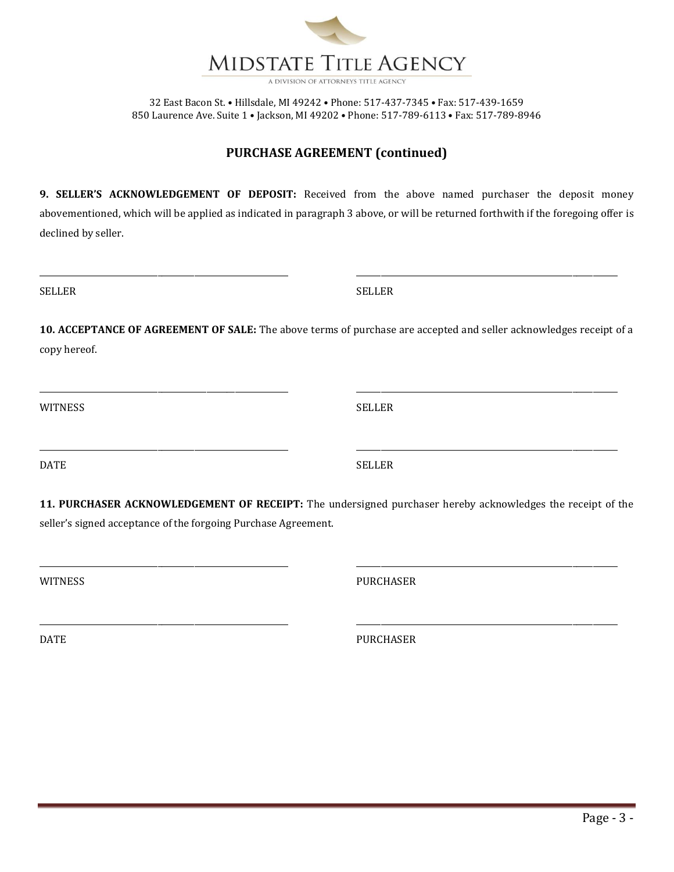

## **PURCHASE AGREEMENT (continued)**

**9. SELLER'S ACKNOWLEDGEMENT OF DEPOSIT:** Received from the above named purchaser the deposit money abovementioned, which will be applied as indicated in paragraph 3 above, or will be returned forthwith if the foregoing offer is declined by seller.

\_\_\_\_\_\_\_\_\_\_\_\_\_\_\_\_\_\_\_\_\_\_\_\_\_\_\_\_\_\_\_\_\_\_\_\_\_\_\_\_\_\_\_\_\_\_\_\_\_\_\_\_\_\_\_\_\_\_\_\_\_ \_\_\_\_\_\_\_\_\_\_\_\_\_\_\_\_\_\_\_\_\_\_\_\_\_\_\_\_\_\_\_\_\_\_\_\_\_\_\_\_\_\_\_\_\_\_\_\_\_\_\_\_\_\_\_\_\_\_\_\_\_\_\_\_

SELLER SELLER

**10. ACCEPTANCE OF AGREEMENT OF SALE:** The above terms of purchase are accepted and seller acknowledges receipt of a copy hereof.

\_\_\_\_\_\_\_\_\_\_\_\_\_\_\_\_\_\_\_\_\_\_\_\_\_\_\_\_\_\_\_\_\_\_\_\_\_\_\_\_\_\_\_\_\_\_\_\_\_\_\_\_\_\_\_\_\_\_\_\_\_ \_\_\_\_\_\_\_\_\_\_\_\_\_\_\_\_\_\_\_\_\_\_\_\_\_\_\_\_\_\_\_\_\_\_\_\_\_\_\_\_\_\_\_\_\_\_\_\_\_\_\_\_\_\_\_\_\_\_\_\_\_\_\_\_

\_\_\_\_\_\_\_\_\_\_\_\_\_\_\_\_\_\_\_\_\_\_\_\_\_\_\_\_\_\_\_\_\_\_\_\_\_\_\_\_\_\_\_\_\_\_\_\_\_\_\_\_\_\_\_\_\_\_\_\_\_ \_\_\_\_\_\_\_\_\_\_\_\_\_\_\_\_\_\_\_\_\_\_\_\_\_\_\_\_\_\_\_\_\_\_\_\_\_\_\_\_\_\_\_\_\_\_\_\_\_\_\_\_\_\_\_\_\_\_\_\_\_\_\_\_

WITNESS SELLER

DATE SELLER

**11. PURCHASER ACKNOWLEDGEMENT OF RECEIPT:** The undersigned purchaser hereby acknowledges the receipt of the seller's signed acceptance of the forgoing Purchase Agreement.

\_\_\_\_\_\_\_\_\_\_\_\_\_\_\_\_\_\_\_\_\_\_\_\_\_\_\_\_\_\_\_\_\_\_\_\_\_\_\_\_\_\_\_\_\_\_\_\_\_\_\_\_\_\_\_\_\_\_\_\_\_ \_\_\_\_\_\_\_\_\_\_\_\_\_\_\_\_\_\_\_\_\_\_\_\_\_\_\_\_\_\_\_\_\_\_\_\_\_\_\_\_\_\_\_\_\_\_\_\_\_\_\_\_\_\_\_\_\_\_\_\_\_\_\_\_

\_\_\_\_\_\_\_\_\_\_\_\_\_\_\_\_\_\_\_\_\_\_\_\_\_\_\_\_\_\_\_\_\_\_\_\_\_\_\_\_\_\_\_\_\_\_\_\_\_\_\_\_\_\_\_\_\_\_\_\_\_ \_\_\_\_\_\_\_\_\_\_\_\_\_\_\_\_\_\_\_\_\_\_\_\_\_\_\_\_\_\_\_\_\_\_\_\_\_\_\_\_\_\_\_\_\_\_\_\_\_\_\_\_\_\_\_\_\_\_\_\_\_\_\_\_

WITNESS PURCHASER

DATE PURCHASER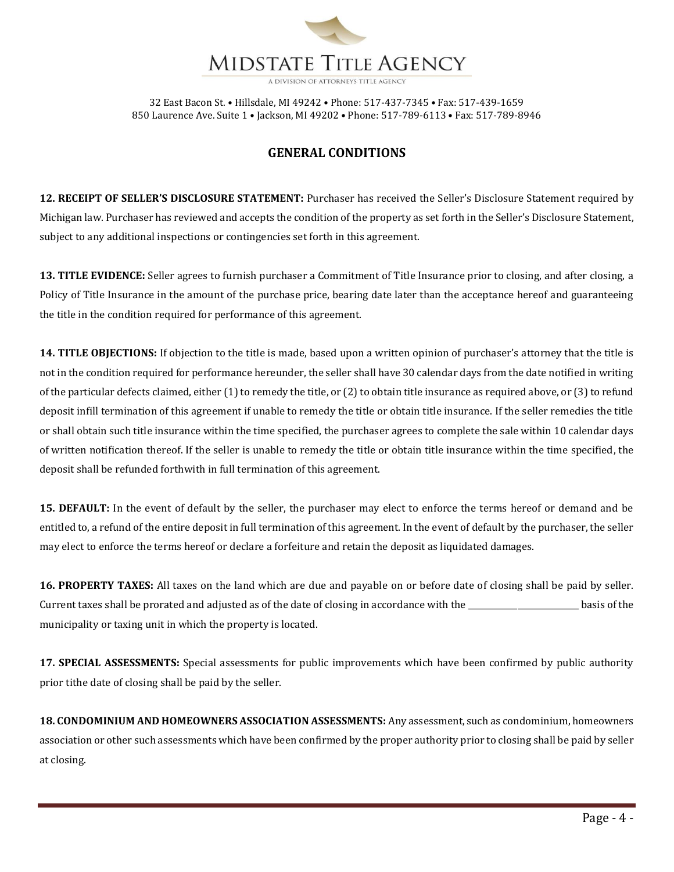

# **GENERAL CONDITIONS**

**12. RECEIPT OF SELLER'S DISCLOSURE STATEMENT:** Purchaser has received the Seller's Disclosure Statement required by Michigan law. Purchaser has reviewed and accepts the condition of the property as set forth in the Seller's Disclosure Statement, subject to any additional inspections or contingencies set forth in this agreement.

**13. TITLE EVIDENCE:** Seller agrees to furnish purchaser a Commitment of Title Insurance prior to closing, and after closing, a Policy of Title Insurance in the amount of the purchase price, bearing date later than the acceptance hereof and guaranteeing the title in the condition required for performance of this agreement.

**14. TITLE OBJECTIONS:** If objection to the title is made, based upon a written opinion of purchaser's attorney that the title is not in the condition required for performance hereunder, the seller shall have 30 calendar days from the date notified in writing of the particular defects claimed, either (1) to remedy the title, or (2) to obtain title insurance as required above, or (3) to refund deposit infill termination of this agreement if unable to remedy the title or obtain title insurance. If the seller remedies the title or shall obtain such title insurance within the time specified, the purchaser agrees to complete the sale within 10 calendar days of written notification thereof. If the seller is unable to remedy the title or obtain title insurance within the time specified, the deposit shall be refunded forthwith in full termination of this agreement.

**15. DEFAULT:** In the event of default by the seller, the purchaser may elect to enforce the terms hereof or demand and be entitled to, a refund of the entire deposit in full termination of this agreement. In the event of default by the purchaser, the seller may elect to enforce the terms hereof or declare a forfeiture and retain the deposit as liquidated damages.

**16. PROPERTY TAXES:** All taxes on the land which are due and payable on or before date of closing shall be paid by seller. Current taxes shall be prorated and adjusted as of the date of closing in accordance with the \_\_\_\_\_\_\_\_\_\_\_\_\_\_\_\_\_\_\_\_\_\_\_\_\_\_\_ basis of the municipality or taxing unit in which the property is located.

**17. SPECIAL ASSESSMENTS:** Special assessments for public improvements which have been confirmed by public authority prior tithe date of closing shall be paid by the seller.

**18. CONDOMINIUM AND HOMEOWNERS ASSOCIATION ASSESSMENTS:** Any assessment, such as condominium, homeowners association or other such assessments which have been confirmed by the proper authority prior to closing shall be paid by seller at closing.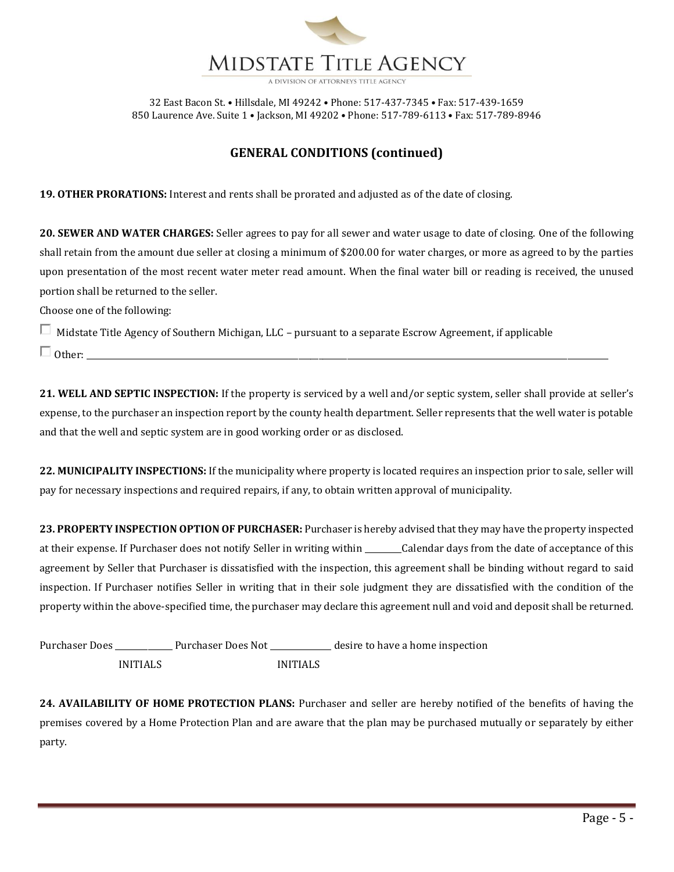

## **GENERAL CONDITIONS (continued)**

**19. OTHER PRORATIONS:** Interest and rents shall be prorated and adjusted as of the date of closing.

**20. SEWER AND WATER CHARGES:** Seller agrees to pay for all sewer and water usage to date of closing. One of the following shall retain from the amount due seller at closing a minimum of \$200.00 for water charges, or more as agreed to by the parties upon presentation of the most recent water meter read amount. When the final water bill or reading is received, the unused portion shall be returned to the seller.

Choose one of the following:

Midstate Title Agency of Southern Michigan, LLC – pursuant to a separate Escrow Agreement, if applicable

Other: \_\_\_\_\_\_\_\_\_\_\_\_\_\_\_\_\_\_\_\_\_\_\_\_\_\_\_\_\_\_\_\_\_\_\_\_\_\_\_\_\_\_\_\_\_\_\_\_\_\_\_\_\_\_\_\_\_\_\_\_\_\_\_\_\_\_\_\_\_\_\_\_\_\_\_\_\_\_\_\_\_\_\_\_\_\_\_\_\_\_\_\_\_\_\_\_\_\_\_\_\_\_\_\_\_\_\_\_\_\_\_\_\_\_\_\_\_\_\_\_\_\_\_\_\_\_\_\_

**21. WELL AND SEPTIC INSPECTION:** If the property is serviced by a well and/or septic system, seller shall provide at seller's expense, to the purchaser an inspection report by the county health department. Seller represents that the well water is potable and that the well and septic system are in good working order or as disclosed.

**22. MUNICIPALITY INSPECTIONS:** If the municipality where property is located requires an inspection prior to sale, seller will pay for necessary inspections and required repairs, if any, to obtain written approval of municipality.

**23. PROPERTY INSPECTION OPTION OF PURCHASER:** Purchaser is hereby advised that they may have the property inspected at their expense. If Purchaser does not notify Seller in writing within \_\_\_\_\_\_\_\_\_Calendar days from the date of acceptance of this agreement by Seller that Purchaser is dissatisfied with the inspection, this agreement shall be binding without regard to said inspection. If Purchaser notifies Seller in writing that in their sole judgment they are dissatisfied with the condition of the property within the above-specified time, the purchaser may declare this agreement null and void and deposit shall be returned.

| <b>Purchaser Does</b> |                 | Purchaser Does Not |                 | desire to have a home inspection |
|-----------------------|-----------------|--------------------|-----------------|----------------------------------|
|                       | <b>INITIALS</b> |                    | <b>INITIALS</b> |                                  |

**24. AVAILABILITY OF HOME PROTECTION PLANS:** Purchaser and seller are hereby notified of the benefits of having the premises covered by a Home Protection Plan and are aware that the plan may be purchased mutually or separately by either party.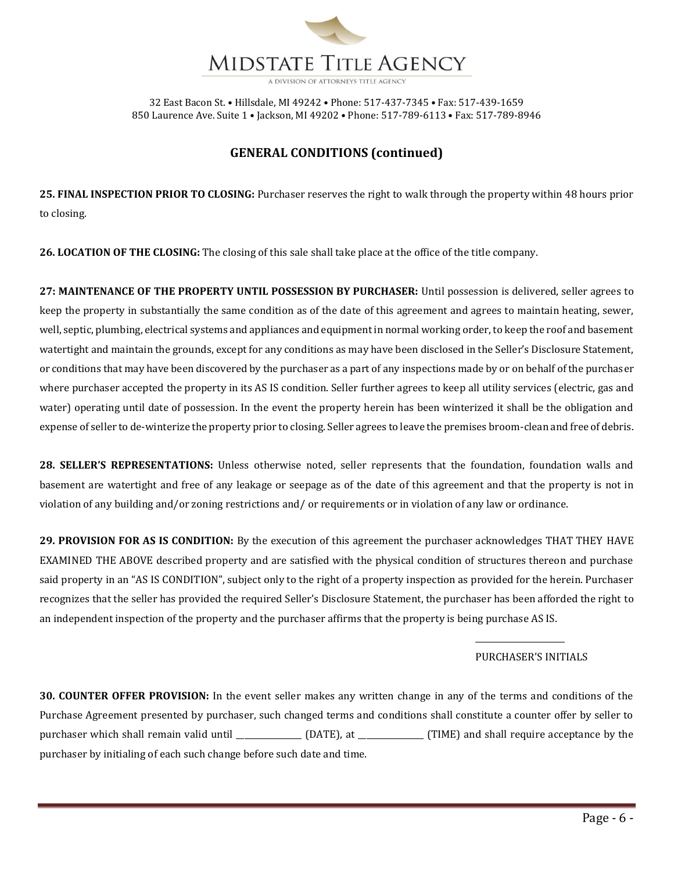

## **GENERAL CONDITIONS (continued)**

**25. FINAL INSPECTION PRIOR TO CLOSING:** Purchaser reserves the right to walk through the property within 48 hours prior to closing.

**26. LOCATION OF THE CLOSING:** The closing of this sale shall take place at the office of the title company.

**27: MAINTENANCE OF THE PROPERTY UNTIL POSSESSION BY PURCHASER:** Until possession is delivered, seller agrees to keep the property in substantially the same condition as of the date of this agreement and agrees to maintain heating, sewer, well, septic, plumbing, electrical systems and appliances and equipment in normal working order, to keep the roof and basement watertight and maintain the grounds, except for any conditions as may have been disclosed in the Seller's Disclosure Statement, or conditions that may have been discovered by the purchaser as a part of any inspections made by or on behalf of the purchaser where purchaser accepted the property in its AS IS condition. Seller further agrees to keep all utility services (electric, gas and water) operating until date of possession. In the event the property herein has been winterized it shall be the obligation and expense of seller to de-winterize the property prior to closing. Seller agrees to leave the premises broom-clean and free of debris.

**28. SELLER'S REPRESENTATIONS:** Unless otherwise noted, seller represents that the foundation, foundation walls and basement are watertight and free of any leakage or seepage as of the date of this agreement and that the property is not in violation of any building and/or zoning restrictions and/ or requirements or in violation of any law or ordinance.

**29. PROVISION FOR AS IS CONDITION:** By the execution of this agreement the purchaser acknowledges THAT THEY HAVE EXAMINED THE ABOVE described property and are satisfied with the physical condition of structures thereon and purchase said property in an "AS IS CONDITION", subject only to the right of a property inspection as provided for the herein. Purchaser recognizes that the seller has provided the required Seller's Disclosure Statement, the purchaser has been afforded the right to an independent inspection of the property and the purchaser affirms that the property is being purchase AS IS.

### PURCHASER'S INITIALS

\_\_\_\_\_\_\_\_\_\_\_\_\_\_\_\_\_\_\_\_\_\_

**30. COUNTER OFFER PROVISION:** In the event seller makes any written change in any of the terms and conditions of the Purchase Agreement presented by purchaser, such changed terms and conditions shall constitute a counter offer by seller to purchaser which shall remain valid until \_\_\_\_\_\_\_\_\_\_\_\_\_\_\_\_ (DATE), at \_\_\_\_\_\_\_\_\_\_\_\_\_\_\_\_ (TIME) and shall require acceptance by the purchaser by initialing of each such change before such date and time.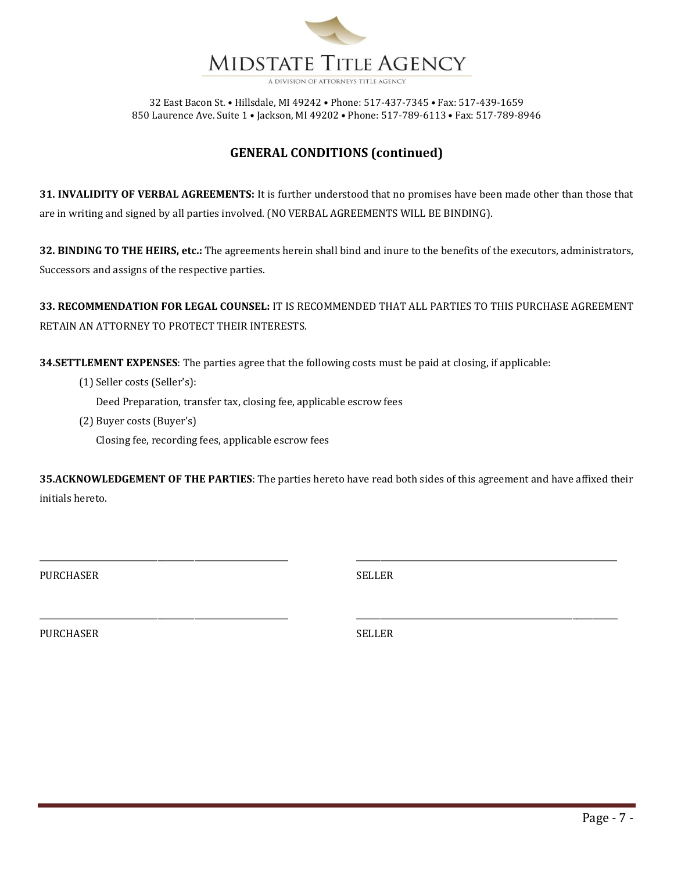

## **GENERAL CONDITIONS (continued)**

**31. INVALIDITY OF VERBAL AGREEMENTS:** It is further understood that no promises have been made other than those that are in writing and signed by all parties involved. (NO VERBAL AGREEMENTS WILL BE BINDING).

**32. BINDING TO THE HEIRS, etc.:** The agreements herein shall bind and inure to the benefits of the executors, administrators, Successors and assigns of the respective parties.

**33. RECOMMENDATION FOR LEGAL COUNSEL:** IT IS RECOMMENDED THAT ALL PARTIES TO THIS PURCHASE AGREEMENT RETAIN AN ATTORNEY TO PROTECT THEIR INTERESTS.

**34.SETTLEMENT EXPENSES**: The parties agree that the following costs must be paid at closing, if applicable:

(1) Seller costs (Seller's):

Deed Preparation, transfer tax, closing fee, applicable escrow fees

(2) Buyer costs (Buyer's)

Closing fee, recording fees, applicable escrow fees

**35.ACKNOWLEDGEMENT OF THE PARTIES**: The parties hereto have read both sides of this agreement and have affixed their initials hereto.

\_\_\_\_\_\_\_\_\_\_\_\_\_\_\_\_\_\_\_\_\_\_\_\_\_\_\_\_\_\_\_\_\_\_\_\_\_\_\_\_\_\_\_\_\_\_\_\_\_\_\_\_\_\_\_\_\_\_\_\_\_ \_\_\_\_\_\_\_\_\_\_\_\_\_\_\_\_\_\_\_\_\_\_\_\_\_\_\_\_\_\_\_\_\_\_\_\_\_\_\_\_\_\_\_\_\_\_\_\_\_\_\_\_\_\_\_\_\_\_\_\_\_\_\_\_

\_\_\_\_\_\_\_\_\_\_\_\_\_\_\_\_\_\_\_\_\_\_\_\_\_\_\_\_\_\_\_\_\_\_\_\_\_\_\_\_\_\_\_\_\_\_\_\_\_\_\_\_\_\_\_\_\_\_\_\_\_ \_\_\_\_\_\_\_\_\_\_\_\_\_\_\_\_\_\_\_\_\_\_\_\_\_\_\_\_\_\_\_\_\_\_\_\_\_\_\_\_\_\_\_\_\_\_\_\_\_\_\_\_\_\_\_\_\_\_\_\_\_\_\_\_

PURCHASER SELLER

PURCHASER SELLER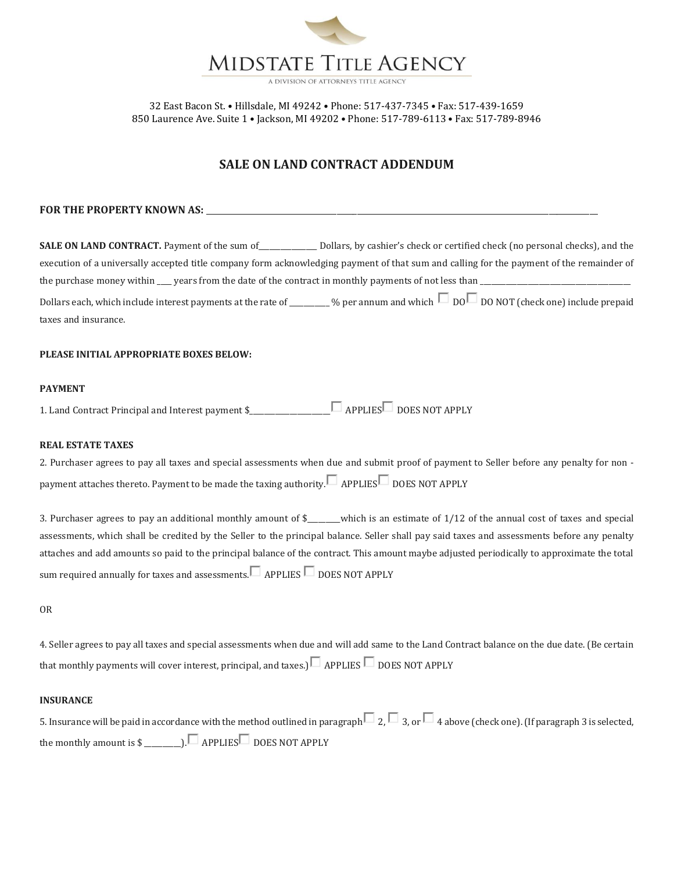

## **SALE ON LAND CONTRACT ADDENDUM**

#### FOR THE PROPERTY KNOWN AS:

**SALE ON LAND CONTRACT.** Payment of the sum of\_\_\_\_\_\_\_\_\_\_\_\_\_\_\_\_ Dollars, by cashier's check or certified check (no personal checks), and the execution of a universally accepted title company form acknowledging payment of that sum and calling for the payment of the remainder of the purchase money within  $\mu$  years from the date of the contract in monthly payments of not less than  $\mu$ Dollars each, which include interest payments at the rate of \_\_\_\_\_\_\_\_ % per annum and which  $\Box$  DO  $\Box$  DO NOT (check one) include prepaid taxes and insurance.

#### **PLEASE INITIAL APPROPRIATE BOXES BELOW:**

### **PAYMENT**

1. Land Contract Principal and Interest payment \$\_\_\_\_\_\_\_\_\_\_\_\_\_\_\_\_\_\_\_\_\_\_ APPLIES DOES NOT APPLY

#### **REAL ESTATE TAXES**

2. Purchaser agrees to pay all taxes and special assessments when due and submit proof of payment to Seller before any penalty for non payment attaches thereto. Payment to be made the taxing authority.  $\Box$  APPLIES DOES NOT APPLY

3. Purchaser agrees to pay an additional monthly amount of \$\_\_\_\_\_\_\_\_\_which is an estimate of 1/12 of the annual cost of taxes and special assessments, which shall be credited by the Seller to the principal balance. Seller shall pay said taxes and assessments before any penalty attaches and add amounts so paid to the principal balance of the contract. This amount maybe adjusted periodically to approximate the total sum required annually for taxes and assessments.  $\Box$  APPLIES  $\Box$  DOES NOT APPLY

OR

4. Seller agrees to pay all taxes and special assessments when due and will add same to the Land Contract balance on the due date. (Be certain that monthly payments will cover interest, principal, and taxes.)  $\Box$  APPLIES  $\Box$  DOES NOT APPLY

#### **INSURANCE**

| 5. Insurance will be paid in accordance with the method outlined in paragraph $\Box$ 2, $\Box$ 3, or $\Box$ 4 above (check one). (If paragraph 3 is selected, |  |
|---------------------------------------------------------------------------------------------------------------------------------------------------------------|--|
|                                                                                                                                                               |  |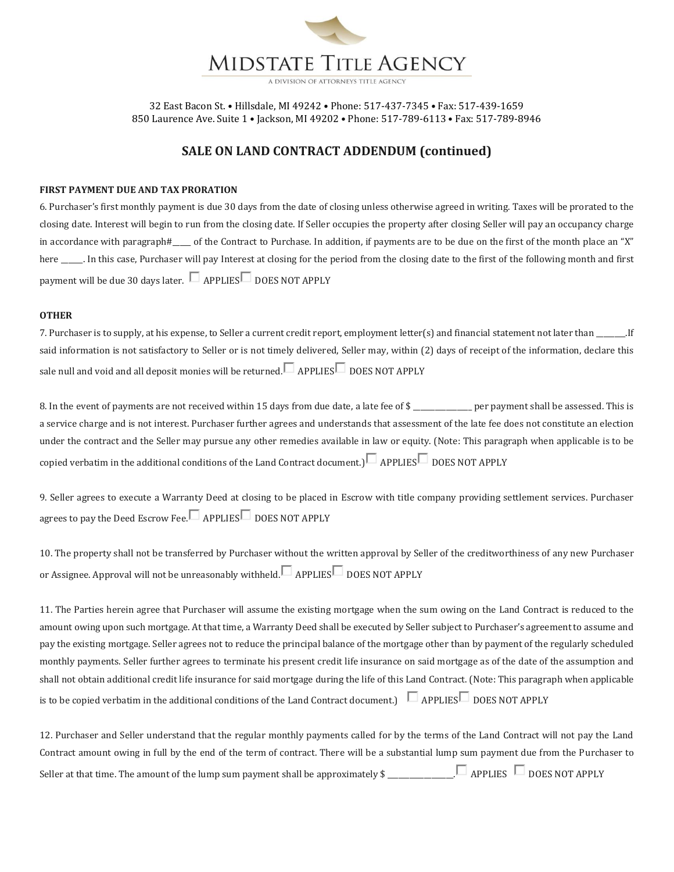

## **SALE ON LAND CONTRACT ADDENDUM (continued)**

#### **FIRST PAYMENT DUE AND TAX PRORATION**

6. Purchaser's first monthly payment is due 30 days from the date of closing unless otherwise agreed in writing. Taxes will be prorated to the closing date. Interest will begin to run from the closing date. If Seller occupies the property after closing Seller will pay an occupancy charge in accordance with paragraph#\_\_\_\_\_ of the Contract to Purchase. In addition, if payments are to be due on the first of the month place an "X" here \_\_\_\_\_\_. In this case, Purchaser will pay Interest at closing for the period from the closing date to the first of the following month and first payment will be due 30 days later.  $\Box$  APPLIES DOES NOT APPLY

#### **OTHER**

7. Purchaser is to supply, at his expense, to Seller a current credit report, employment letter(s) and financial statement not later than \_\_\_\_\_\_\_\_.If said information is not satisfactory to Seller or is not timely delivered, Seller may, within (2) days of receipt of the information, declare this sale null and void and all deposit monies will be returned.  $\Box$  APPLIES  $\Box$  DOES NOT APPLY

8. In the event of payments are not received within 15 days from due date, a late fee of \$ \_\_\_\_\_\_\_\_\_\_\_\_\_\_\_ per payment shall be assessed. This is a service charge and is not interest. Purchaser further agrees and understands that assessment of the late fee does not constitute an election under the contract and the Seller may pursue any other remedies available in law or equity. (Note: This paragraph when applicable is to be copied verbatim in the additional conditions of the Land Contract document.)  $\Box$  APPLIES DOES NOT APPLY

9. Seller agrees to execute a Warranty Deed at closing to be placed in Escrow with title company providing settlement services. Purchaser agrees to pay the Deed Escrow Fee.  $\Box$  APPLIES  $\Box$  DOES NOT APPLY

10. The property shall not be transferred by Purchaser without the written approval by Seller of the creditworthiness of any new Purchaser or Assignee. Approval will not be unreasonably withheld.  $\Box$  APPLIES DOES NOT APPLY

11. The Parties herein agree that Purchaser will assume the existing mortgage when the sum owing on the Land Contract is reduced to the amount owing upon such mortgage. At that time, a Warranty Deed shall be executed by Seller subject to Purchaser's agreement to assume and pay the existing mortgage. Seller agrees not to reduce the principal balance of the mortgage other than by payment of the regularly scheduled monthly payments. Seller further agrees to terminate his present credit life insurance on said mortgage as of the date of the assumption and shall not obtain additional credit life insurance for said mortgage during the life of this Land Contract. (Note: This paragraph when applicable is to be copied verbatim in the additional conditions of the Land Contract document.)  $\Box$  APPLIES DOES NOT APPLY

12. Purchaser and Seller understand that the regular monthly payments called for by the terms of the Land Contract will not pay the Land Contract amount owing in full by the end of the term of contract. There will be a substantial lump sum payment due from the Purchaser to Seller at that time. The amount of the lump sum payment shall be approximately  $\mathcal{L}_{\text{max}} = 1$  APPLIES  $\Box$  DOES NOT APPLY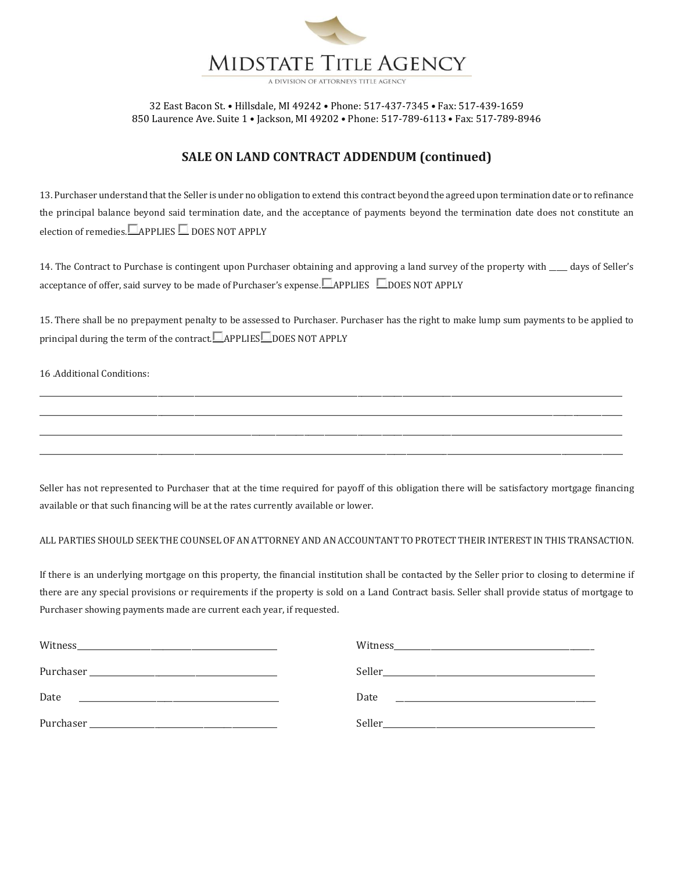

## **SALE ON LAND CONTRACT ADDENDUM (continued)**

13. Purchaser understand that the Seller is under no obligation to extend this contract beyond the agreed upon termination date or to refinance the principal balance beyond said termination date, and the acceptance of payments beyond the termination date does not constitute an election of remedies.  $\Box$  APPLIES  $\Box$  DOES NOT APPLY

14. The Contract to Purchase is contingent upon Purchaser obtaining and approving a land survey of the property with \_\_\_\_ days of Seller's acceptance of offer, said survey to be made of Purchaser's expense.  $\Box$  APPLIES  $\Box$  DOES NOT APPLY

15. There shall be no prepayment penalty to be assessed to Purchaser. Purchaser has the right to make lump sum payments to be applied to principal during the term of the contract. APPLIES DOES NOT APPLY

\_\_\_\_\_\_\_\_\_\_\_\_\_\_\_\_\_\_\_\_\_\_\_\_\_\_\_\_\_\_\_\_\_\_\_\_\_\_\_\_\_\_\_\_\_\_\_\_\_\_\_\_\_\_\_\_\_\_\_\_\_\_\_\_\_\_\_\_\_\_\_\_\_\_\_\_\_\_\_\_\_\_\_\_\_\_\_\_\_\_\_\_\_\_\_\_\_\_\_\_\_\_\_\_\_\_\_\_\_\_\_\_\_\_\_\_\_\_\_\_\_\_\_\_\_\_\_\_\_\_\_\_\_\_\_\_\_\_\_\_\_\_\_ \_\_\_\_\_\_\_\_\_\_\_\_\_\_\_\_\_\_\_\_\_\_\_\_\_\_\_\_\_\_\_\_\_\_\_\_\_\_\_\_\_\_\_\_\_\_\_\_\_\_\_\_\_\_\_\_\_\_\_\_\_\_\_\_\_\_\_\_\_\_\_\_\_\_\_\_\_\_\_\_\_\_\_\_\_\_\_\_\_\_\_\_\_\_\_\_\_\_\_\_\_\_\_\_\_\_\_\_\_\_\_\_\_\_\_\_\_\_\_\_\_\_\_\_\_\_\_\_\_\_\_\_\_\_\_\_\_\_\_\_\_\_\_ \_\_\_\_\_\_\_\_\_\_\_\_\_\_\_\_\_\_\_\_\_\_\_\_\_\_\_\_\_\_\_\_\_\_\_\_\_\_\_\_\_\_\_\_\_\_\_\_\_\_\_\_\_\_\_\_\_\_\_\_\_\_\_\_\_\_\_\_\_\_\_\_\_\_\_\_\_\_\_\_\_\_\_\_\_\_\_\_\_\_\_\_\_\_\_\_\_\_\_\_\_\_\_\_\_\_\_\_\_\_\_\_\_\_\_\_\_\_\_\_\_\_\_\_\_\_\_\_\_\_\_\_\_\_\_\_\_\_\_\_\_\_\_ \_\_\_\_\_\_\_\_\_\_\_\_\_\_\_\_\_\_\_\_\_\_\_\_\_\_\_\_\_\_\_\_\_\_\_\_\_\_\_\_\_\_\_\_\_\_\_\_\_\_\_\_\_\_\_\_\_\_\_\_\_\_\_\_\_\_\_\_\_\_\_\_\_\_\_\_\_\_\_\_\_\_\_\_\_\_\_\_\_\_\_\_\_\_\_\_\_\_\_\_\_\_\_\_\_\_\_\_\_\_\_\_\_\_\_\_\_\_\_\_\_\_\_\_\_\_\_\_\_\_\_\_\_\_\_\_\_\_\_\_\_\_\_

16 .Additional Conditions:

Seller has not represented to Purchaser that at the time required for payoff of this obligation there will be satisfactory mortgage financing available or that such financing will be at the rates currently available or lower.

### ALL PARTIES SHOULD SEEK THE COUNSEL OF AN ATTORNEY AND AN ACCOUNTANT TO PROTECT THEIR INTEREST IN THIS TRANSACTION.

If there is an underlying mortgage on this property, the financial institution shall be contacted by the Seller prior to closing to determine if there are any special provisions or requirements if the property is sold on a Land Contract basis. Seller shall provide status of mortgage to Purchaser showing payments made are current each year, if requested.

|                                                                                 | Witness                                                                         |
|---------------------------------------------------------------------------------|---------------------------------------------------------------------------------|
|                                                                                 |                                                                                 |
| Date                                                                            | Date                                                                            |
|                                                                                 |                                                                                 |
| Purchaser                                                                       | Seller                                                                          |
| the contract of the contract of the contract of the contract of the contract of | the contract of the contract of the contract of the contract of the contract of |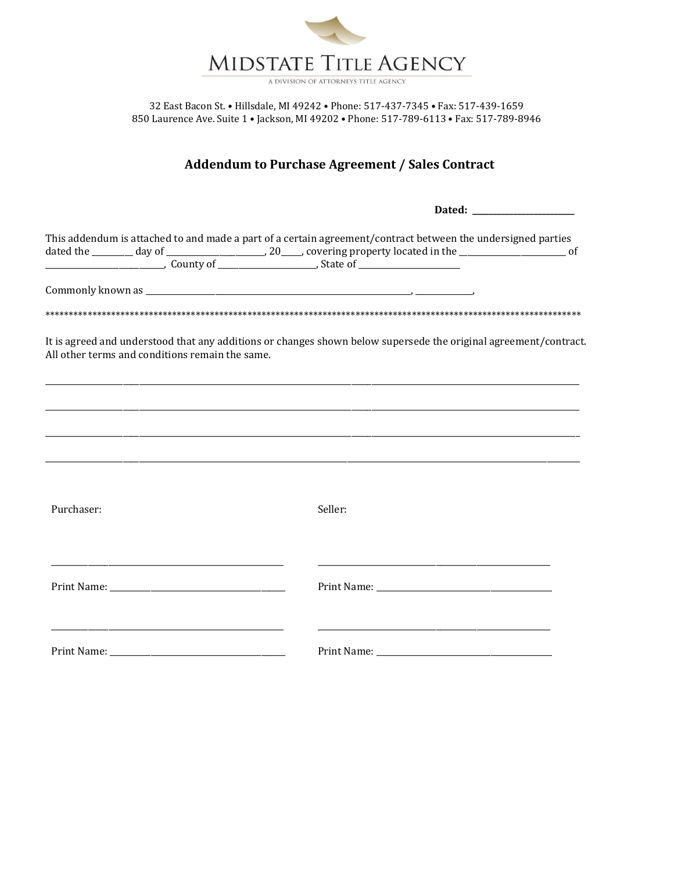

# **Addendum to Purchase Agreement / Sales Contract**

|                                                 | This addendum is attached to and made a part of a certain agreement/contract between the undersigned parties<br>$\frac{1}{2}$ $\frac{1}{2}$ $\frac{1}{2}$ $\frac{1}{2}$ $\frac{1}{2}$ $\frac{1}{2}$ $\frac{1}{2}$ $\frac{1}{2}$ $\frac{1}{2}$ $\frac{1}{2}$ $\frac{1}{2}$ $\frac{1}{2}$ $\frac{1}{2}$ $\frac{1}{2}$ $\frac{1}{2}$ $\frac{1}{2}$ $\frac{1}{2}$ $\frac{1}{2}$ $\frac{1}{2}$ $\frac{1}{2}$ $\frac{1}{2}$ $\frac{1}{2}$ |
|-------------------------------------------------|-------------------------------------------------------------------------------------------------------------------------------------------------------------------------------------------------------------------------------------------------------------------------------------------------------------------------------------------------------------------------------------------------------------------------------------|
|                                                 |                                                                                                                                                                                                                                                                                                                                                                                                                                     |
|                                                 |                                                                                                                                                                                                                                                                                                                                                                                                                                     |
| All other terms and conditions remain the same. | It is agreed and understood that any additions or changes shown below supersede the original agreement/contract.                                                                                                                                                                                                                                                                                                                    |
|                                                 |                                                                                                                                                                                                                                                                                                                                                                                                                                     |
|                                                 |                                                                                                                                                                                                                                                                                                                                                                                                                                     |
|                                                 |                                                                                                                                                                                                                                                                                                                                                                                                                                     |
| Purchaser:                                      | Seller:                                                                                                                                                                                                                                                                                                                                                                                                                             |
|                                                 |                                                                                                                                                                                                                                                                                                                                                                                                                                     |
|                                                 |                                                                                                                                                                                                                                                                                                                                                                                                                                     |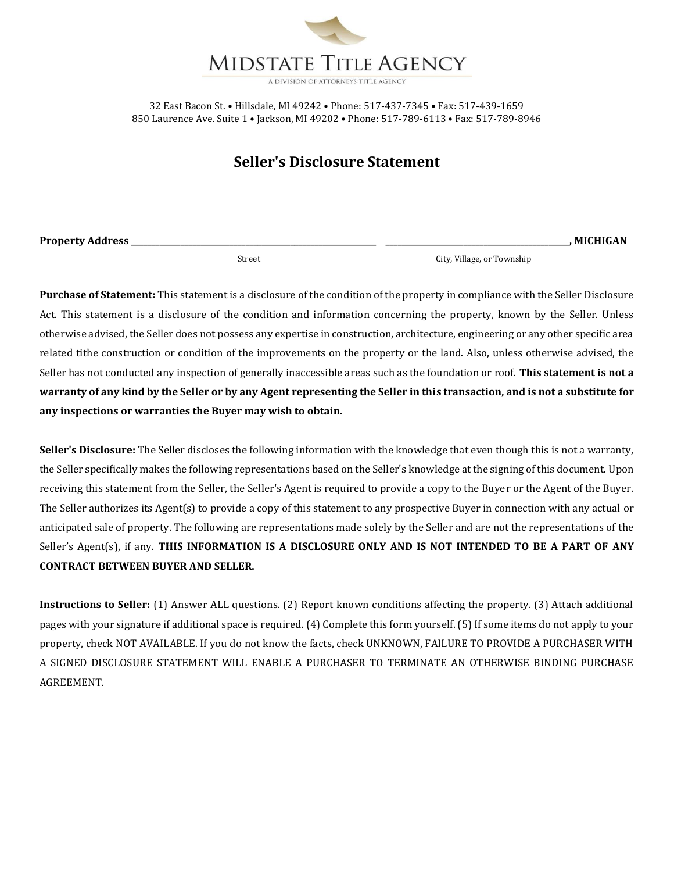

# **Seller's Disclosure Statement**

**Property Address \_\_\_\_\_\_\_\_\_\_\_\_\_\_\_\_\_\_\_\_\_\_\_\_\_\_\_\_\_\_\_\_\_\_\_\_\_\_\_\_\_\_\_\_\_\_\_\_\_\_\_\_\_\_\_\_\_\_\_\_ \_\_\_\_\_\_\_\_\_\_\_\_\_\_\_\_\_\_\_\_\_\_\_\_\_\_\_\_\_\_\_\_\_\_\_\_\_\_\_\_\_\_\_\_\_, MICHIGAN**

Street City, Village, or Township

**Purchase of Statement:** This statement is a disclosure of the condition of the property in compliance with the Seller Disclosure Act. This statement is a disclosure of the condition and information concerning the property, known by the Seller. Unless otherwise advised, the Seller does not possess any expertise in construction, architecture, engineering or any other specific area related tithe construction or condition of the improvements on the property or the land. Also, unless otherwise advised, the Seller has not conducted any inspection of generally inaccessible areas such as the foundation or roof. **This statement is not a warranty of any kind by the Seller or by any Agent representing the Seller in this transaction, and is not a substitute for any inspections or warranties the Buyer may wish to obtain.**

**Seller's Disclosure:** The Seller discloses the following information with the knowledge that even though this is not a warranty, the Seller specifically makes the following representations based on the Seller's knowledge at the signing of this document. Upon receiving this statement from the Seller, the Seller's Agent is required to provide a copy to the Buyer or the Agent of the Buyer. The Seller authorizes its Agent(s) to provide a copy of this statement to any prospective Buyer in connection with any actual or anticipated sale of property. The following are representations made solely by the Seller and are not the representations of the Seller's Agent(s), if any. **THIS INFORMATION IS A DISCLOSURE ONLY AND IS NOT INTENDED TO BE A PART OF ANY CONTRACT BETWEEN BUYER AND SELLER.**

**Instructions to Seller:** (1) Answer ALL questions. (2) Report known conditions affecting the property. (3) Attach additional pages with your signature if additional space is required. (4) Complete this form yourself. (5) If some items do not apply to your property, check NOT AVAILABLE. If you do not know the facts, check UNKNOWN, FAILURE TO PROVIDE A PURCHASER WITH A SIGNED DISCLOSURE STATEMENT WILL ENABLE A PURCHASER TO TERMINATE AN OTHERWISE BINDING PURCHASE AGREEMENT.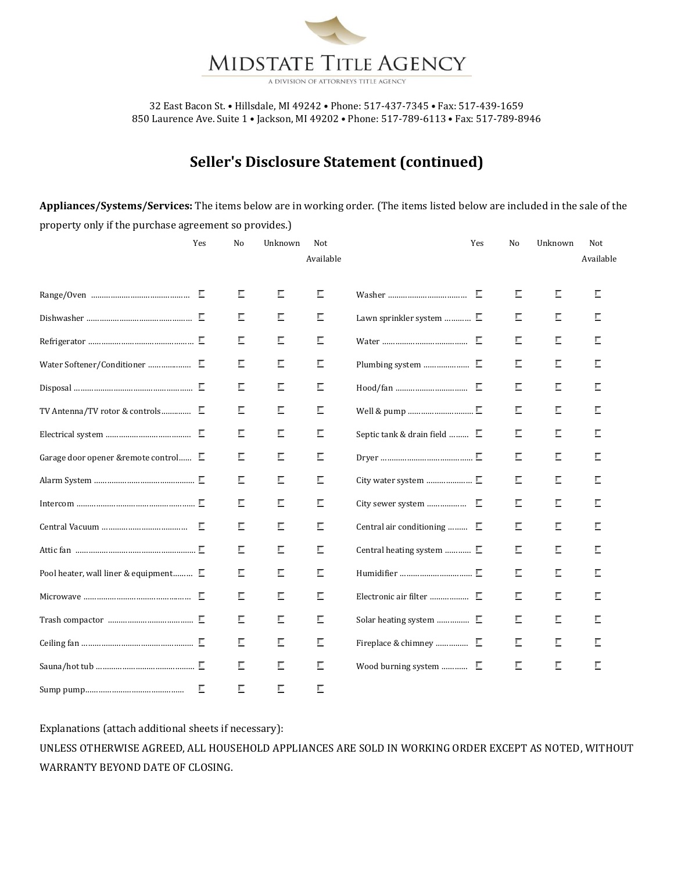

A DIVISION OF ATTORNEYS TITLE AGENC

32 East Bacon St. • Hillsdale, MI 49242 • Phone: 517-437-7345 • Fax: 517-439-1659 850 Laurence Ave. Suite 1 • Jackson, MI 49202 • Phone: 517-789-6113 • Fax: 517-789-8946

# **Seller's Disclosure Statement (continued)**

**Appliances/Systems/Services:** The items below are in working order. (The items listed below are included in the sale of the property only if the purchase agreement so provides.)

|                                               | Yes | No | Unknown | Not<br>Available |                                      | Yes | No | Unknown | Not<br>Available |
|-----------------------------------------------|-----|----|---------|------------------|--------------------------------------|-----|----|---------|------------------|
|                                               |     |    |         |                  |                                      |     |    |         |                  |
|                                               | E   | E  | E       | E                |                                      | Е   | E  | Е       | Е                |
|                                               |     | Е  | E       | E                | Lawn sprinkler system $\blacksquare$ |     | Е  | Е       | E                |
|                                               |     | E  | Е       | E                |                                      |     | Е  | Е       | Е                |
|                                               |     | Е  | E       | Е                |                                      |     | E  | Е       | Е                |
|                                               |     | E  | E       | E                |                                      |     | Е  | Е       | Е                |
|                                               |     | Е  | Е       | Е                |                                      |     | E  | Е       | Е                |
|                                               |     | Е  | E       | E                | Septic tank & drain field $\Box$     |     | Е  | Е       | E                |
| Garage door opener & remote control E         |     | Е  | E       | Е                |                                      |     | E  | Е       | Е                |
|                                               | E   | E  | Е       | Е                |                                      |     | E  | Е       | Е                |
|                                               |     | Е  | E       | Е                |                                      |     | E  | Е       |                  |
|                                               |     | E  | E       | Е                | Central air conditioning $\square$   |     | Е  | Е       |                  |
|                                               |     | Е  | Е       | Е                | Central heating system $\square$     |     | Е  | Е       | E                |
| Pool heater, wall liner & equipment $\square$ |     | Е  | E       | E                |                                      |     | E  | Е       | Е                |
|                                               | Е   | Е  | E       | Е                |                                      |     | Е  | Е       | Е                |
|                                               |     | Е  | E       | E                |                                      |     | Е  | Е       | Е                |
|                                               |     | Е  | E       | E                |                                      |     | Е  | Е       | Е                |
|                                               |     | Е  | E       | Е                | Wood burning system $\square$        |     | E  | Е       | Е                |
|                                               | Е   | Е  | E       | Е                |                                      |     |    |         |                  |

Explanations (attach additional sheets if necessary):

UNLESS OTHERWISE AGREED, ALL HOUSEHOLD APPLIANCES ARE SOLD IN WORKING ORDER EXCEPT AS NOTED, WITHOUT WARRANTY BEYOND DATE OF CLOSING.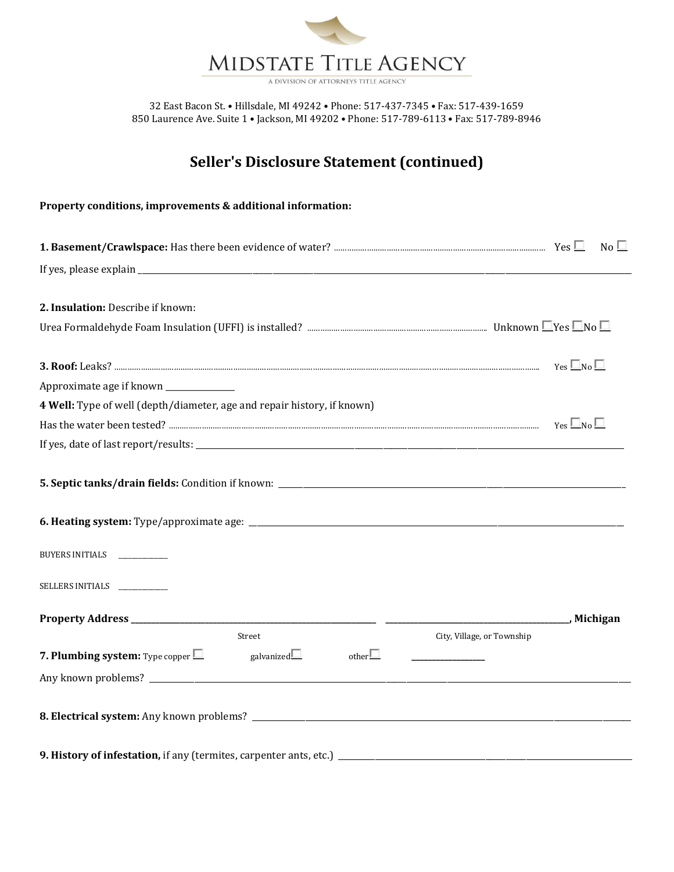

# **Seller's Disclosure Statement (continued)**

### **Property conditions, improvements & additional information:**

|                                                                                    |                                             | $No \Box$              |
|------------------------------------------------------------------------------------|---------------------------------------------|------------------------|
|                                                                                    |                                             |                        |
| 2. Insulation: Describe if known:                                                  |                                             |                        |
|                                                                                    |                                             |                        |
|                                                                                    |                                             | $Yes$ $\Box$ No $\Box$ |
| Approximate age if known ______________                                            |                                             |                        |
| 4 Well: Type of well (depth/diameter, age and repair history, if known)            |                                             |                        |
|                                                                                    |                                             | $Yes$ $\Box$ No $\Box$ |
|                                                                                    |                                             |                        |
|                                                                                    |                                             |                        |
| BUYERS INITIALS ___________                                                        |                                             |                        |
| SELLERS INITIALS ___________                                                       |                                             |                        |
|                                                                                    | <u>_________________________</u> , Michigan |                        |
| Street                                                                             | City, Village, or Township                  |                        |
| galvanized $\Box$<br>$other \Box$<br><b>7. Plumbing system:</b> Type copper $\Box$ |                                             |                        |
|                                                                                    |                                             |                        |
|                                                                                    |                                             |                        |
| 9. History of infestation, if any (termites, carpenter ants, etc.) _____________   |                                             |                        |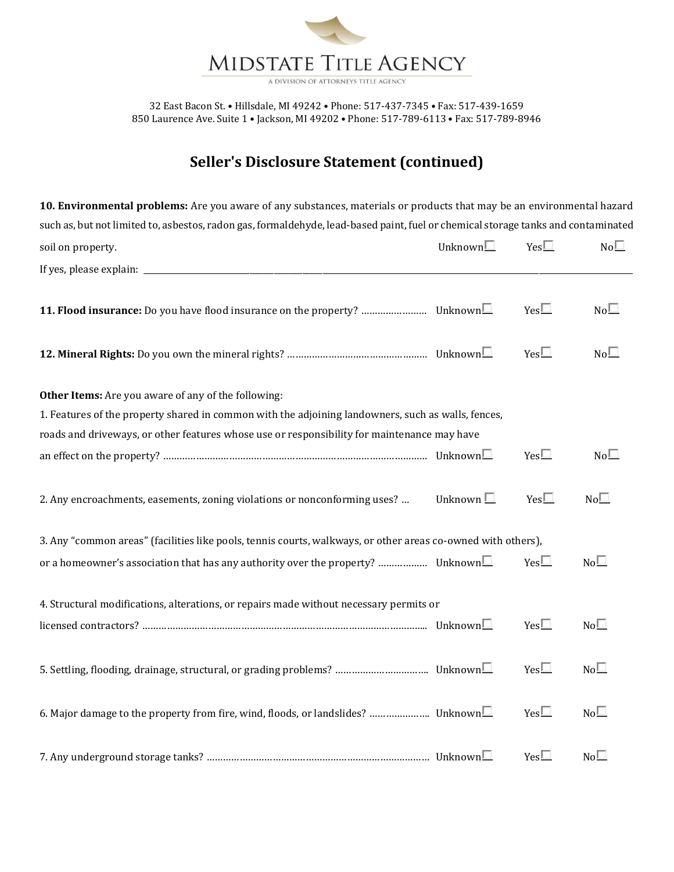

# **Seller's Disclosure Statement (continued)**

**10. Environmental problems:** Are you aware of any substances, materials or products that may be an environmental hazard such as, but not limited to, asbestos, radon gas, formaldehyde, lead-based paint, fuel or chemical storage tanks and contaminated soil on property.  $\blacksquare$  Yes  $\blacksquare$  Yes  $\blacksquare$  Yes  $\blacksquare$  No  $\blacksquare$ If yes, please explain: **11. Flood insurance:** Do you have flood insurance on the property? …………………………… Unknown  $\Box$  Yes  $\Box$  No $\Box$ **12. Mineral Rights:** Do you own the mineral rights? ……………………………………………………………… Unknown□ Yes□ No□ **Other Items:** Are you aware of any of the following: 1. Features of the property shared in common with the adjoining landowners, such as walls, fences, roads and driveways, or other features whose use or responsibility for maintenance may have an effect on the property? …………………………………………………………………………………… Unknown Yes No 2. Any encroachments, easements, zoning violations or nonconforming uses? ... Unknown  $\square$  Yes  $\square$  No $\square$ 3. Any "common areas" (facilities like pools, tennis courts, walkways, or other areas co-owned with others), or a homeowner's association that has any authority over the property? ……………… Unknown  $\Box$  Yes  $\Box$  No $\Box$ 4. Structural modifications, alterations, or repairs made without necessary permits or licensed contractors? ………………………………………………………………………………………….. Unknown Yes No 5. Settling, flooding, drainage, structural, or grading problems? ……………………………. Unknown Yes No 6. Major damage to the property from fire, wind, floods, or landslides? …………………. Unknown Yes No 7. Any underground storage tanks? ……………………………………………………………………… Unknown Yes No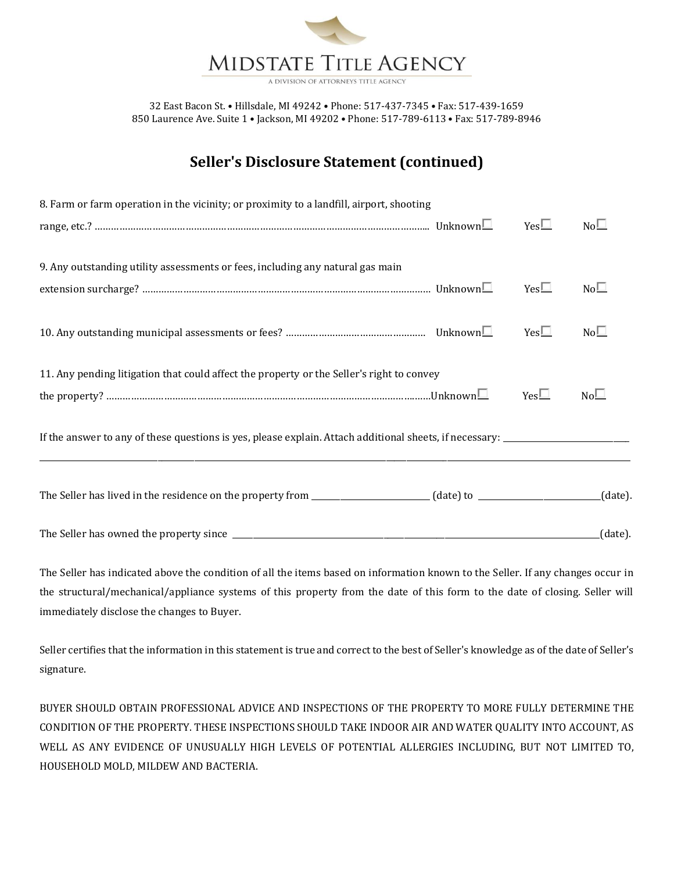

A DIVISION OF ATTORNEYS TITLE AGEN

32 East Bacon St. • Hillsdale, MI 49242 • Phone: 517-437-7345 • Fax: 517-439-1659 850 Laurence Ave. Suite 1 • Jackson, MI 49202 • Phone: 517-789-6113 • Fax: 517-789-8946

# **Seller's Disclosure Statement (continued)**

| 8. Farm or farm operation in the vicinity; or proximity to a landfill, airport, shooting  |              |                 |
|-------------------------------------------------------------------------------------------|--------------|-----------------|
|                                                                                           | $Yes\square$ | $No\square$     |
| 9. Any outstanding utility assessments or fees, including any natural gas main            |              |                 |
|                                                                                           | $Yes \Box$   | $No\square$     |
|                                                                                           | $Yes\square$ | No <sup>1</sup> |
| 11. Any pending litigation that could affect the property or the Seller's right to convey |              |                 |
|                                                                                           | $Yes\square$ | $No\square$     |
|                                                                                           |              |                 |
|                                                                                           |              | $(data)$ .      |
|                                                                                           |              | (data).         |

The Seller has indicated above the condition of all the items based on information known to the Seller. If any changes occur in the structural/mechanical/appliance systems of this property from the date of this form to the date of closing. Seller will immediately disclose the changes to Buyer.

Seller certifies that the information in this statement is true and correct to the best of Seller's knowledge as of the date of Seller's signature.

BUYER SHOULD OBTAIN PROFESSIONAL ADVICE AND INSPECTIONS OF THE PROPERTY TO MORE FULLY DETERMINE THE CONDITION OF THE PROPERTY. THESE INSPECTIONS SHOULD TAKE INDOOR AIR AND WATER QUALITY INTO ACCOUNT, AS WELL AS ANY EVIDENCE OF UNUSUALLY HIGH LEVELS OF POTENTIAL ALLERGIES INCLUDING, BUT NOT LIMITED TO, HOUSEHOLD MOLD, MILDEW AND BACTERIA.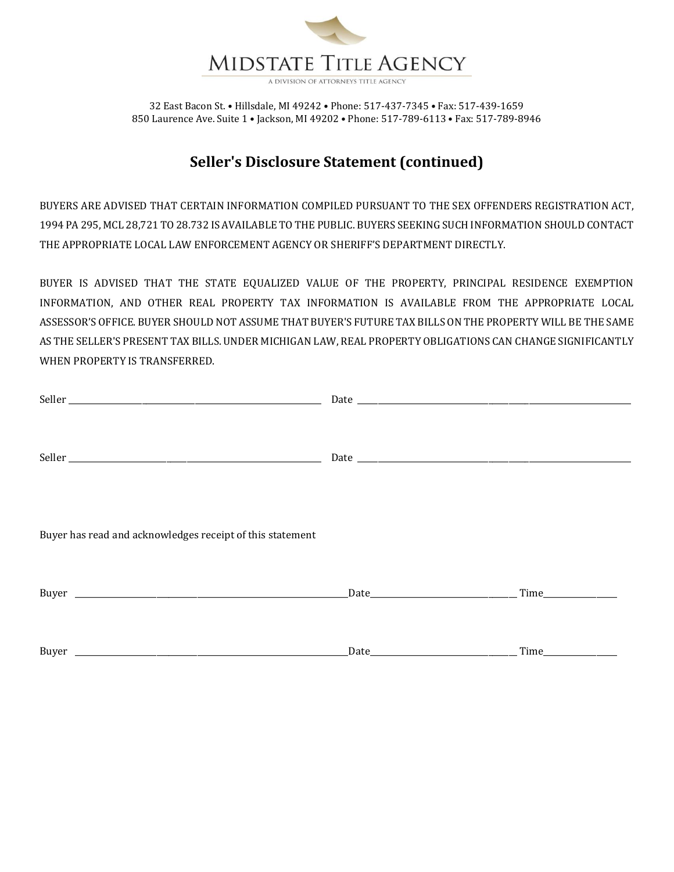

# **Seller's Disclosure Statement (continued)**

BUYERS ARE ADVISED THAT CERTAIN INFORMATION COMPILED PURSUANT TO THE SEX OFFENDERS REGISTRATION ACT, 1994 PA 295, MCL 28,721 TO 28.732 IS AVAILABLE TO THE PUBLIC. BUYERS SEEKING SUCH INFORMATION SHOULD CONTACT THE APPROPRIATE LOCAL LAW ENFORCEMENT AGENCY OR SHERIFF'S DEPARTMENT DIRECTLY.

BUYER IS ADVISED THAT THE STATE EQUALIZED VALUE OF THE PROPERTY, PRINCIPAL RESIDENCE EXEMPTION INFORMATION, AND OTHER REAL PROPERTY TAX INFORMATION IS AVAILABLE FROM THE APPROPRIATE LOCAL ASSESSOR'S OFFICE. BUYER SHOULD NOT ASSUME THAT BUYER'S FUTURE TAX BILLS ON THE PROPERTY WILL BE THE SAME AS THE SELLER'S PRESENT TAX BILLS. UNDER MICHIGAN LAW, REAL PROPERTY OBLIGATIONS CAN CHANGE SIGNIFICANTLY WHEN PROPERTY IS TRANSFERRED.

| Buyer has read and acknowledges receipt of this statement |  |
|-----------------------------------------------------------|--|
|                                                           |  |
|                                                           |  |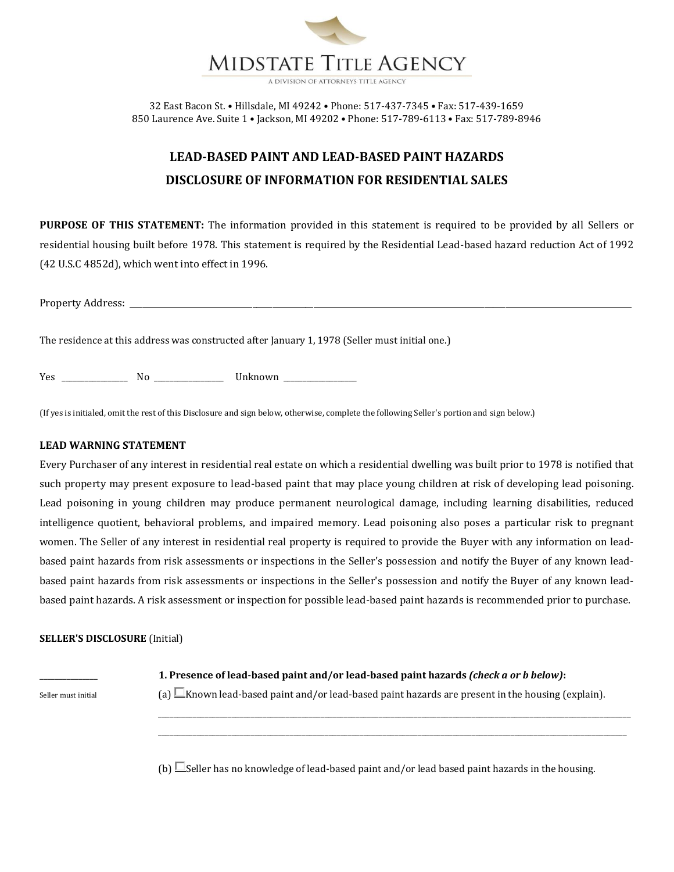

# **LEAD-BASED PAINT AND LEAD-BASED PAINT HAZARDS DISCLOSURE OF INFORMATION FOR RESIDENTIAL SALES**

**PURPOSE OF THIS STATEMENT:** The information provided in this statement is required to be provided by all Sellers or residential housing built before 1978. This statement is required by the Residential Lead-based hazard reduction Act of 1992 (42 U.S.C 4852d), which went into effect in 1996.

The residence at this address was constructed after January 1, 1978 (Seller must initial one.)

Yes \_\_\_\_\_\_\_\_\_\_\_\_\_\_\_\_\_ No \_\_\_\_\_\_\_\_\_\_\_\_\_\_\_\_\_\_ Unknown \_\_\_\_\_\_\_\_\_\_\_\_\_\_\_\_\_\_\_

(If yes is initialed, omit the rest of this Disclosure and sign below, otherwise, complete the following Seller's portion and sign below.)

#### **LEAD WARNING STATEMENT**

Every Purchaser of any interest in residential real estate on which a residential dwelling was built prior to 1978 is notified that such property may present exposure to lead-based paint that may place young children at risk of developing lead poisoning. Lead poisoning in young children may produce permanent neurological damage, including learning disabilities, reduced intelligence quotient, behavioral problems, and impaired memory. Lead poisoning also poses a particular risk to pregnant women. The Seller of any interest in residential real property is required to provide the Buyer with any information on leadbased paint hazards from risk assessments or inspections in the Seller's possession and notify the Buyer of any known leadbased paint hazards from risk assessments or inspections in the Seller's possession and notify the Buyer of any known leadbased paint hazards. A risk assessment or inspection for possible lead-based paint hazards is recommended prior to purchase.

### **SELLER'S DISCLOSURE** (Initial)

Seller must initial  $\Box$  (a)  $\Box$ Known lead-based paint and/or lead-based paint hazards are present in the housing (explain).

**\_\_\_\_\_\_\_\_\_\_\_\_\_\_\_ 1. Presence of lead-based paint and/or lead-based paint hazards** *(check a or b below)***:**

\_\_\_\_\_\_\_\_\_\_\_\_\_\_\_\_\_\_\_\_\_\_\_\_\_\_\_\_\_\_\_\_\_\_\_\_\_\_\_\_\_\_\_\_\_\_\_\_\_\_\_\_\_\_\_\_\_\_\_\_\_\_\_\_\_\_\_\_\_\_\_\_\_\_\_\_\_\_\_\_\_\_\_\_\_\_\_\_\_\_\_\_\_\_\_\_\_\_\_\_\_\_\_\_\_\_\_\_\_\_\_\_\_\_\_\_\_\_\_\_\_\_ \_\_\_\_\_\_\_\_\_\_\_\_\_\_\_\_\_\_\_\_\_\_\_\_\_\_\_\_\_\_\_\_\_\_\_\_\_\_\_\_\_\_\_\_\_\_\_\_\_\_\_\_\_\_\_\_\_\_\_\_\_\_\_\_\_\_\_\_\_\_\_\_\_\_\_\_\_\_\_\_\_\_\_\_\_\_\_\_\_\_\_\_\_\_\_\_\_\_\_\_\_\_\_\_\_\_\_\_\_\_\_\_\_\_\_\_\_\_\_\_\_

(b)  $\Box$  Seller has no knowledge of lead-based paint and/or lead based paint hazards in the housing.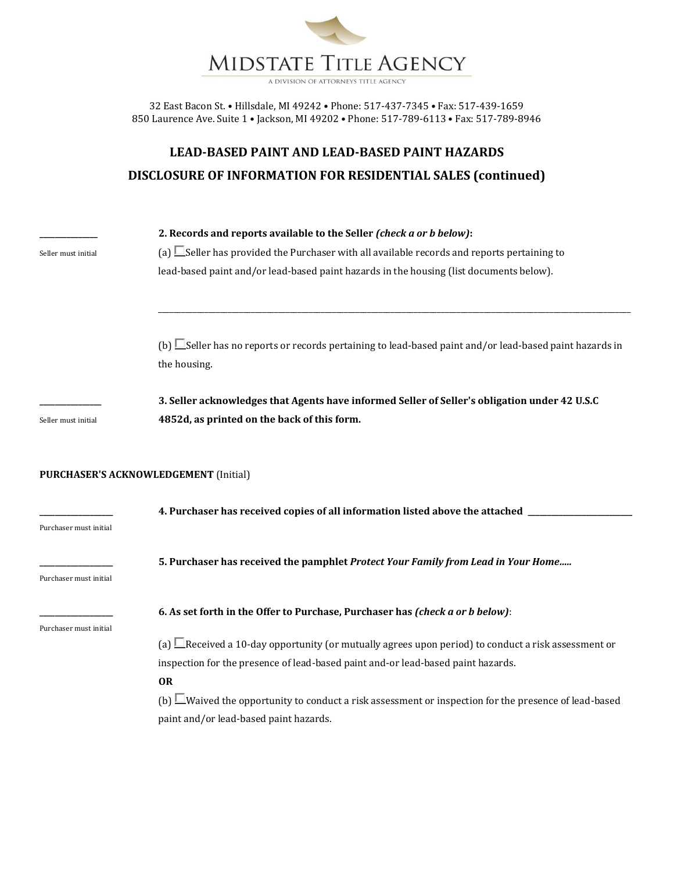

A DIVISION OF ATTORNEYS TITLE AGENCY

32 East Bacon St. • Hillsdale, MI 49242 • Phone: 517-437-7345 • Fax: 517-439-1659 850 Laurence Ave. Suite 1 • Jackson, MI 49202 • Phone: 517-789-6113 • Fax: 517-789-8946

# **LEAD-BASED PAINT AND LEAD-BASED PAINT HAZARDS DISCLOSURE OF INFORMATION FOR RESIDENTIAL SALES (continued)**

|                        | 2. Records and reports available to the Seller (check a or b below):                                           |
|------------------------|----------------------------------------------------------------------------------------------------------------|
| Seller must initial    | (a) $\Box$ Seller has provided the Purchaser with all available records and reports pertaining to              |
|                        | lead-based paint and/or lead-based paint hazards in the housing (list documents below).                        |
|                        |                                                                                                                |
|                        | (b) Seller has no reports or records pertaining to lead-based paint and/or lead-based paint hazards in         |
|                        | the housing.                                                                                                   |
|                        | 3. Seller acknowledges that Agents have informed Seller of Seller's obligation under 42 U.S.C                  |
| Seller must initial    | 4852d, as printed on the back of this form.                                                                    |
|                        | <b>PURCHASER'S ACKNOWLEDGEMENT (Initial)</b>                                                                   |
| Purchaser must initial | 4. Purchaser has received copies of all information listed above the attached _                                |
| Purchaser must initial | 5. Purchaser has received the pamphlet Protect Your Family from Lead in Your Home                              |
| Purchaser must initial | 6. As set forth in the Offer to Purchase, Purchaser has (check a or b below):                                  |
|                        | (a) $\Box$ Received a 10-day opportunity (or mutually agrees upon period) to conduct a risk assessment or      |
|                        | inspection for the presence of lead-based paint and-or lead-based paint hazards.                               |
|                        | <b>OR</b>                                                                                                      |
|                        | (b) $\square$ Waived the opportunity to conduct a risk assessment or inspection for the presence of lead-based |
|                        | paint and/or lead-based paint hazards.                                                                         |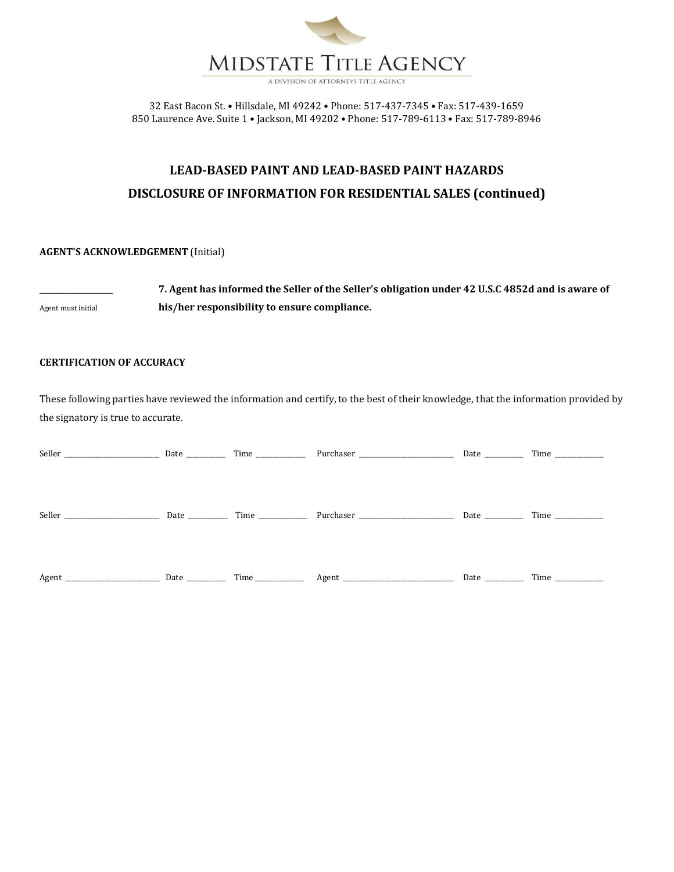

# **LEAD-BASED PAINT AND LEAD-BASED PAINT HAZARDS DISCLOSURE OF INFORMATION FOR RESIDENTIAL SALES (continued)**

### **AGENT'S ACKNOWLEDGEMENT** (Initial)

**\_\_\_\_\_\_\_\_\_\_\_\_\_\_\_\_\_\_\_ 7. Agent has informed the Seller of the Seller's obligation under 42 U.S.C 4852d and is aware of**  Agent must initial **his/her responsibility to ensure compliance.**

### **CERTIFICATION OF ACCURACY**

These following parties have reviewed the information and certify, to the best of their knowledge, that the information provided by the signatory is true to accurate.

| Seller |  |             |  |
|--------|--|-------------|--|
|        |  |             |  |
|        |  | Date        |  |
|        |  | Date $\_\_$ |  |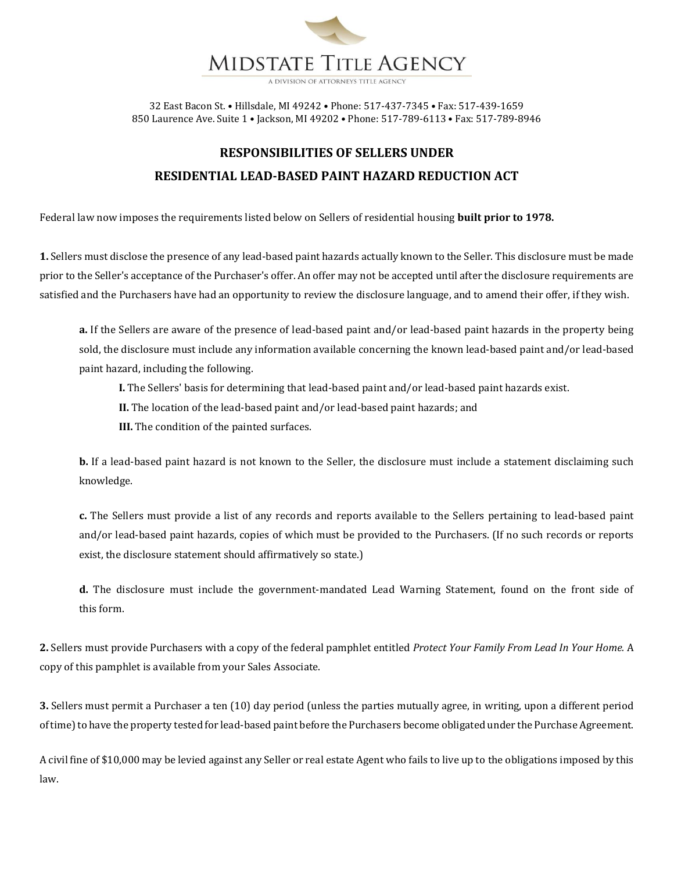

32 East Bacon St. • Hillsdale, MI 49242 • Phone: 517-437-7345 • Fax: 517-439-1659

850 Laurence Ave. Suite 1 • Jackson, MI 49202 • Phone: 517-789-6113 • Fax: 517-789-8946

# **RESPONSIBILITIES OF SELLERS UNDER RESIDENTIAL LEAD-BASED PAINT HAZARD REDUCTION ACT**

Federal law now imposes the requirements listed below on Sellers of residential housing **built prior to 1978.**

**1.** Sellers must disclose the presence of any lead-based paint hazards actually known to the Seller. This disclosure must be made prior to the Seller's acceptance of the Purchaser's offer. An offer may not be accepted until after the disclosure requirements are satisfied and the Purchasers have had an opportunity to review the disclosure language, and to amend their offer, if they wish.

**a.** If the Sellers are aware of the presence of lead-based paint and/or lead-based paint hazards in the property being sold, the disclosure must include any information available concerning the known lead-based paint and/or lead-based paint hazard, including the following.

**I.** The Sellers' basis for determining that lead-based paint and/or lead-based paint hazards exist.

**II.** The location of the lead-based paint and/or lead-based paint hazards; and

**III.** The condition of the painted surfaces.

**b.** If a lead-based paint hazard is not known to the Seller, the disclosure must include a statement disclaiming such knowledge.

**c.** The Sellers must provide a list of any records and reports available to the Sellers pertaining to lead-based paint and/or lead-based paint hazards, copies of which must be provided to the Purchasers. (If no such records or reports exist, the disclosure statement should affirmatively so state.)

**d.** The disclosure must include the government-mandated Lead Warning Statement, found on the front side of this form.

**2.** Sellers must provide Purchasers with a copy of the federal pamphlet entitled *Protect Your Family From Lead In Your Home.* A copy of this pamphlet is available from your Sales Associate.

**3.** Sellers must permit a Purchaser a ten (10) day period (unless the parties mutually agree, in writing, upon a different period of time) to have the property tested for lead-based paint before the Purchasers become obligated under the Purchase Agreement.

A civil fine of \$10,000 may be levied against any Seller or real estate Agent who fails to live up to the obligations imposed by this law.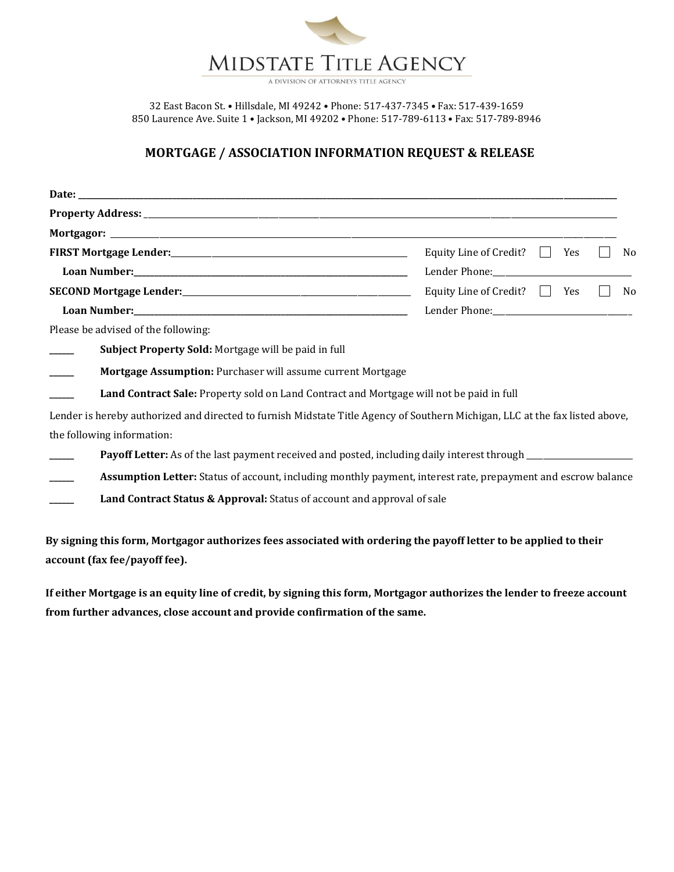

A DIVISION OF ATTORNEYS TITLE AGENCY

32 East Bacon St. • Hillsdale, MI 49242 • Phone: 517-437-7345 • Fax: 517-439-1659 850 Laurence Ave. Suite 1 • Jackson, MI 49202 • Phone: 517-789-6113 • Fax: 517-789-8946

## **MORTGAGE / ASSOCIATION INFORMATION REQUEST & RELEASE**

|                                                                                                                              | Equity Line of Credit? $\Box$ Yes<br>No             |
|------------------------------------------------------------------------------------------------------------------------------|-----------------------------------------------------|
|                                                                                                                              |                                                     |
|                                                                                                                              | Equity Line of Credit? $\Box$ Yes<br>N <sub>0</sub> |
|                                                                                                                              |                                                     |
| Please be advised of the following:                                                                                          |                                                     |
| Subject Property Sold: Mortgage will be paid in full                                                                         |                                                     |
| Mortgage Assumption: Purchaser will assume current Mortgage                                                                  |                                                     |
| Land Contract Sale: Property sold on Land Contract and Mortgage will not be paid in full                                     |                                                     |
| Lender is hereby authorized and directed to furnish Midstate Title Agency of Southern Michigan, LLC at the fax listed above, |                                                     |
| the following information:                                                                                                   |                                                     |
| Payoff Letter: As of the last payment received and posted, including daily interest through __________________               |                                                     |
| Assumption Letter: Status of account, including monthly payment, interest rate, prepayment and escrow balance                |                                                     |
| Land Contract Status & Approval: Status of account and approval of sale                                                      |                                                     |
|                                                                                                                              |                                                     |

**By signing this form, Mortgagor authorizes fees associated with ordering the payoff letter to be applied to their account (fax fee/payoff fee).**

**If either Mortgage is an equity line of credit, by signing this form, Mortgagor authorizes the lender to freeze account from further advances, close account and provide confirmation of the same.**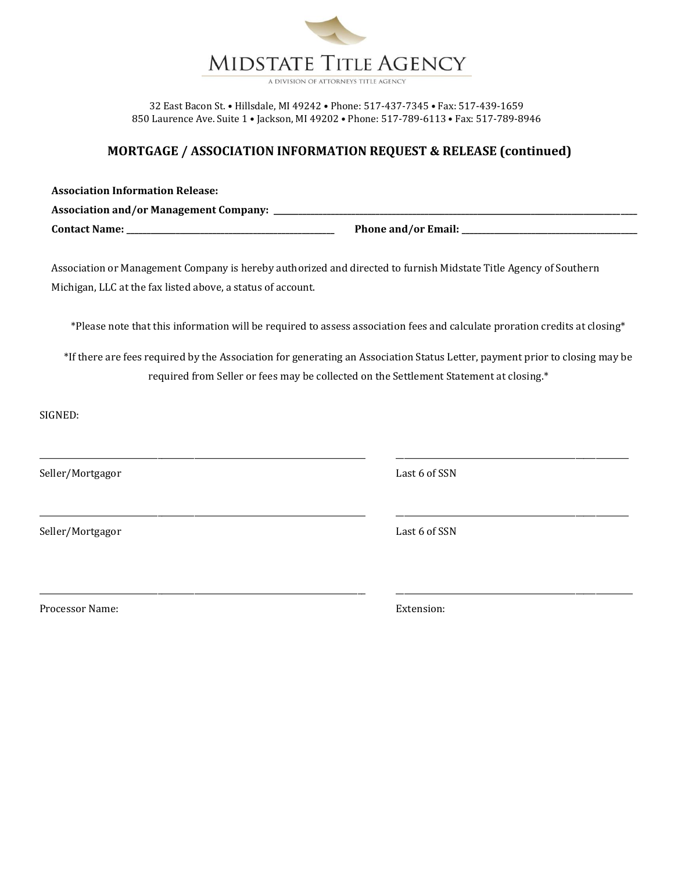

A DIVISION OF ATTORNEYS TITLE AGENC

32 East Bacon St. • Hillsdale, MI 49242 • Phone: 517-437-7345 • Fax: 517-439-1659 850 Laurence Ave. Suite 1 • Jackson, MI 49202 • Phone: 517-789-6113 • Fax: 517-789-8946

## **MORTGAGE / ASSOCIATION INFORMATION REQUEST & RELEASE (continued)**

| <b>Association Information Release:</b>       |                            |
|-----------------------------------------------|----------------------------|
| <b>Association and/or Management Company:</b> |                            |
| <b>Contact Name:</b>                          | <b>Phone and/or Email:</b> |

Association or Management Company is hereby authorized and directed to furnish Midstate Title Agency of Southern Michigan, LLC at the fax listed above, a status of account.

\*Please note that this information will be required to assess association fees and calculate proration credits at closing\*

\*If there are fees required by the Association for generating an Association Status Letter, payment prior to closing may be required from Seller or fees may be collected on the Settlement Statement at closing.\*

\_\_\_\_\_\_\_\_\_\_\_\_\_\_\_\_\_\_\_\_\_\_\_\_\_\_\_\_\_\_\_\_\_\_\_\_\_\_\_\_\_\_\_\_\_\_\_\_\_\_\_\_\_\_\_\_\_\_\_\_\_\_\_\_\_\_\_\_\_\_\_\_\_\_\_\_\_\_\_\_ \_\_\_\_\_\_\_\_\_\_\_\_\_\_\_\_\_\_\_\_\_\_\_\_\_\_\_\_\_\_\_\_\_\_\_\_\_\_\_\_\_\_\_\_\_\_\_\_\_\_\_\_\_\_\_\_\_

\_\_\_\_\_\_\_\_\_\_\_\_\_\_\_\_\_\_\_\_\_\_\_\_\_\_\_\_\_\_\_\_\_\_\_\_\_\_\_\_\_\_\_\_\_\_\_\_\_\_\_\_\_\_\_\_\_\_\_\_\_\_\_\_\_\_\_\_\_\_\_\_\_\_\_\_\_\_\_\_ \_\_\_\_\_\_\_\_\_\_\_\_\_\_\_\_\_\_\_\_\_\_\_\_\_\_\_\_\_\_\_\_\_\_\_\_\_\_\_\_\_\_\_\_\_\_\_\_\_\_\_\_\_\_\_\_\_\_

SIGNED:

Seller/Mortgagor Last 6 of SSN

Seller/Mortgagor Last 6 of SSN

\_\_\_\_\_\_\_\_\_\_\_\_\_\_\_\_\_\_\_\_\_\_\_\_\_\_\_\_\_\_\_\_\_\_\_\_\_\_\_\_\_\_\_\_\_\_\_\_\_\_\_\_\_\_\_\_\_\_\_\_\_\_\_\_\_\_\_\_\_\_\_\_\_\_\_\_\_\_\_\_ \_\_\_\_\_\_\_\_\_\_\_\_\_\_\_\_\_\_\_\_\_\_\_\_\_\_\_\_\_\_\_\_\_\_\_\_\_\_\_\_\_\_\_\_\_\_\_\_\_\_\_\_\_\_\_\_\_

Processor Name: Extension: Extension: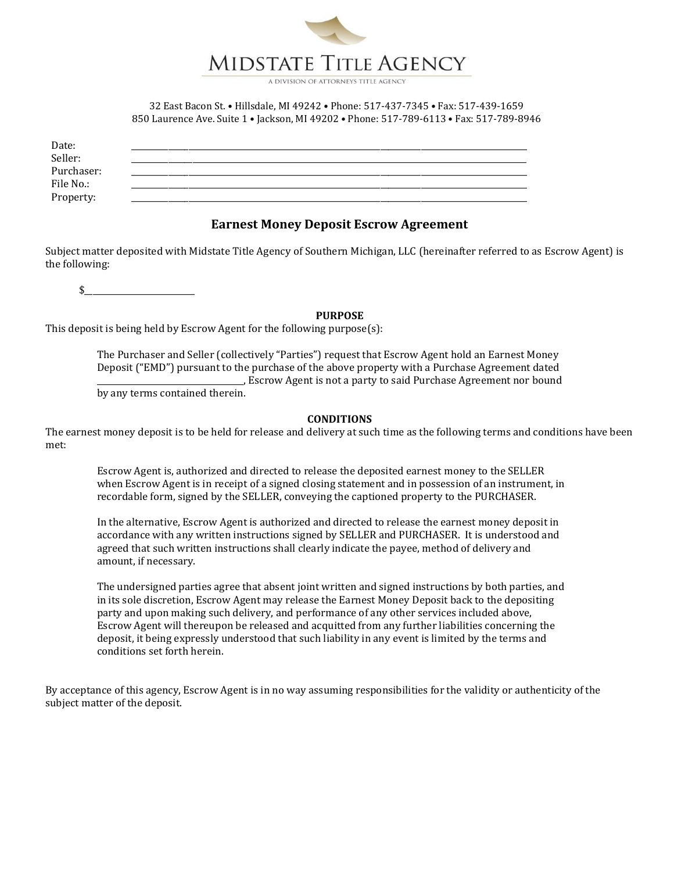

A DIVISION OF ATTORNEYS TITLE AGENC

32 East Bacon St. • Hillsdale, MI 49242 • Phone: 517-437-7345 • Fax: 517-439-1659 850 Laurence Ave. Suite 1 • Jackson, MI 49202 • Phone: 517-789-6113 • Fax: 517-789-8946

| Date:      |  |
|------------|--|
| Seller:    |  |
| Purchaser: |  |
| File No.:  |  |
| Property:  |  |
|            |  |

### **Earnest Money Deposit Escrow Agreement**

Subject matter deposited with Midstate Title Agency of Southern Michigan, LLC (hereinafter referred to as Escrow Agent) is the following:

 $\updownarrow$ 

### **PURPOSE**

This deposit is being held by Escrow Agent for the following purpose(s):

The Purchaser and Seller (collectively "Parties") request that Escrow Agent hold an Earnest Money Deposit ("EMD") pursuant to the purchase of the above property with a Purchase Agreement dated \_\_\_\_\_\_\_\_\_\_\_\_\_\_\_\_\_\_\_\_\_\_\_\_\_\_\_\_\_\_\_\_\_\_\_\_, Escrow Agent is not a party to said Purchase Agreement nor bound

by any terms contained therein.

#### **CONDITIONS**

The earnest money deposit is to be held for release and delivery at such time as the following terms and conditions have been met:

Escrow Agent is, authorized and directed to release the deposited earnest money to the SELLER when Escrow Agent is in receipt of a signed closing statement and in possession of an instrument, in recordable form, signed by the SELLER, conveying the captioned property to the PURCHASER.

In the alternative, Escrow Agent is authorized and directed to release the earnest money deposit in accordance with any written instructions signed by SELLER and PURCHASER. It is understood and agreed that such written instructions shall clearly indicate the payee, method of delivery and amount, if necessary.

The undersigned parties agree that absent joint written and signed instructions by both parties, and in its sole discretion, Escrow Agent may release the Earnest Money Deposit back to the depositing party and upon making such delivery, and performance of any other services included above, Escrow Agent will thereupon be released and acquitted from any further liabilities concerning the deposit, it being expressly understood that such liability in any event is limited by the terms and conditions set forth herein.

By acceptance of this agency, Escrow Agent is in no way assuming responsibilities for the validity or authenticity of the subject matter of the deposit.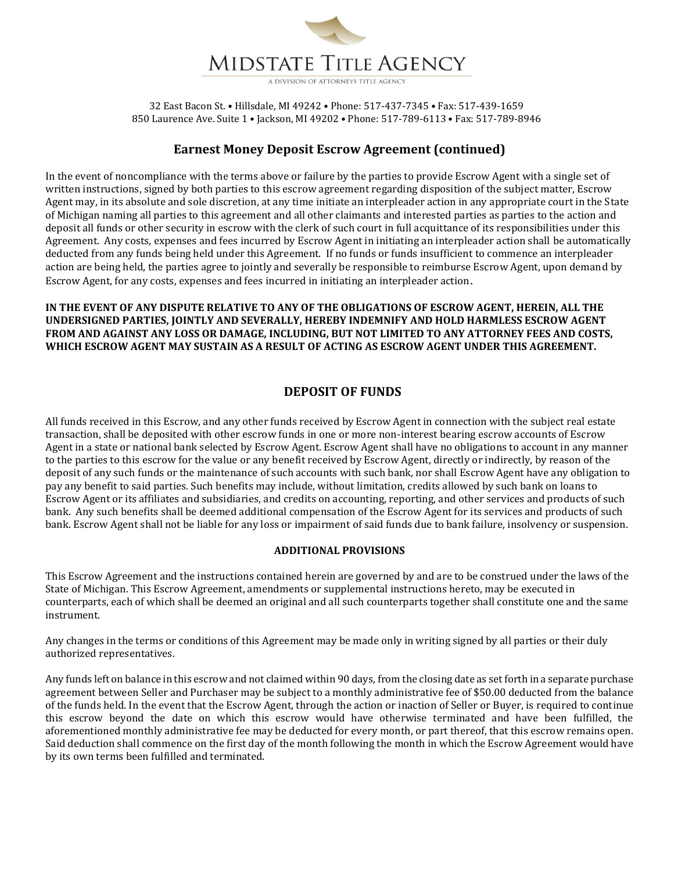

## **Earnest Money Deposit Escrow Agreement (continued)**

In the event of noncompliance with the terms above or failure by the parties to provide Escrow Agent with a single set of written instructions, signed by both parties to this escrow agreement regarding disposition of the subject matter, Escrow Agent may, in its absolute and sole discretion, at any time initiate an interpleader action in any appropriate court in the State of Michigan naming all parties to this agreement and all other claimants and interested parties as parties to the action and deposit all funds or other security in escrow with the clerk of such court in full acquittance of its responsibilities under this Agreement. Any costs, expenses and fees incurred by Escrow Agent in initiating an interpleader action shall be automatically deducted from any funds being held under this Agreement. If no funds or funds insufficient to commence an interpleader action are being held, the parties agree to jointly and severally be responsible to reimburse Escrow Agent, upon demand by Escrow Agent, for any costs, expenses and fees incurred in initiating an interpleader action.

**IN THE EVENT OF ANY DISPUTE RELATIVE TO ANY OF THE OBLIGATIONS OF ESCROW AGENT, HEREIN, ALL THE UNDERSIGNED PARTIES, JOINTLY AND SEVERALLY, HEREBY INDEMNIFY AND HOLD HARMLESS ESCROW AGENT FROM AND AGAINST ANY LOSS OR DAMAGE, INCLUDING, BUT NOT LIMITED TO ANY ATTORNEY FEES AND COSTS, WHICH ESCROW AGENT MAY SUSTAIN AS A RESULT OF ACTING AS ESCROW AGENT UNDER THIS AGREEMENT.**

## **DEPOSIT OF FUNDS**

All funds received in this Escrow, and any other funds received by Escrow Agent in connection with the subject real estate transaction, shall be deposited with other escrow funds in one or more non-interest bearing escrow accounts of Escrow Agent in a state or national bank selected by Escrow Agent. Escrow Agent shall have no obligations to account in any manner to the parties to this escrow for the value or any benefit received by Escrow Agent, directly or indirectly, by reason of the deposit of any such funds or the maintenance of such accounts with such bank, nor shall Escrow Agent have any obligation to pay any benefit to said parties. Such benefits may include, without limitation, credits allowed by such bank on loans to Escrow Agent or its affiliates and subsidiaries, and credits on accounting, reporting, and other services and products of such bank. Any such benefits shall be deemed additional compensation of the Escrow Agent for its services and products of such bank. Escrow Agent shall not be liable for any loss or impairment of said funds due to bank failure, insolvency or suspension.

### **ADDITIONAL PROVISIONS**

This Escrow Agreement and the instructions contained herein are governed by and are to be construed under the laws of the State of Michigan. This Escrow Agreement, amendments or supplemental instructions hereto, may be executed in counterparts, each of which shall be deemed an original and all such counterparts together shall constitute one and the same instrument.

Any changes in the terms or conditions of this Agreement may be made only in writing signed by all parties or their duly authorized representatives.

Any funds left on balance in this escrow and not claimed within 90 days, from the closing date as set forth in a separate purchase agreement between Seller and Purchaser may be subject to a monthly administrative fee of \$50.00 deducted from the balance of the funds held. In the event that the Escrow Agent, through the action or inaction of Seller or Buyer, is required to continue this escrow beyond the date on which this escrow would have otherwise terminated and have been fulfilled, the aforementioned monthly administrative fee may be deducted for every month, or part thereof, that this escrow remains open. Said deduction shall commence on the first day of the month following the month in which the Escrow Agreement would have by its own terms been fulfilled and terminated.